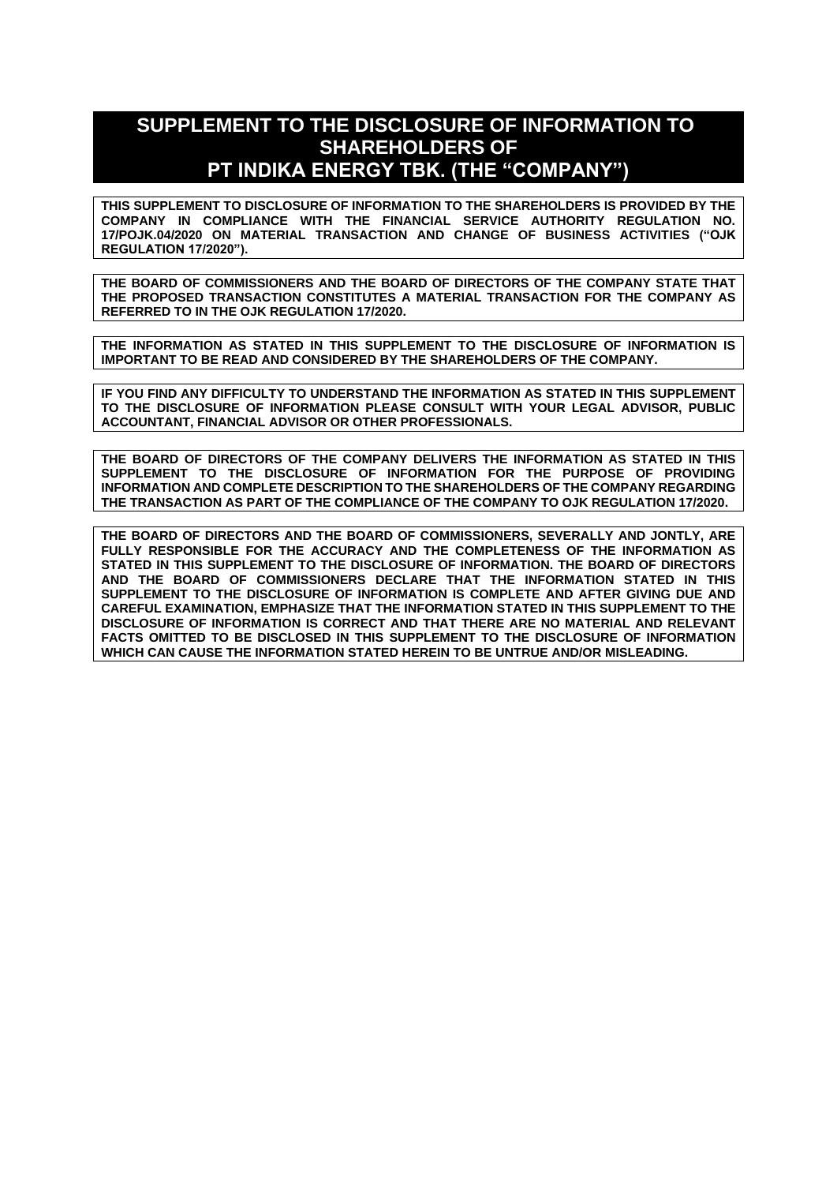# **SUPPLEMENT TO THE DISCLOSURE OF INFORMATION TO SHAREHOLDERS OF PT INDIKA ENERGY TBK. (THE "COMPANY")**

**THIS SUPPLEMENT TO DISCLOSURE OF INFORMATION TO THE SHAREHOLDERS IS PROVIDED BY THE COMPANY IN COMPLIANCE WITH THE FINANCIAL SERVICE AUTHORITY REGULATION NO. 17/POJK.04/2020 ON MATERIAL TRANSACTION AND CHANGE OF BUSINESS ACTIVITIES ("OJK REGULATION 17/2020").**

**THE BOARD OF COMMISSIONERS AND THE BOARD OF DIRECTORS OF THE COMPANY STATE THAT THE PROPOSED TRANSACTION CONSTITUTES A MATERIAL TRANSACTION FOR THE COMPANY AS REFERRED TO IN THE OJK REGULATION 17/2020.**

**THE INFORMATION AS STATED IN THIS SUPPLEMENT TO THE DISCLOSURE OF INFORMATION IS IMPORTANT TO BE READ AND CONSIDERED BY THE SHAREHOLDERS OF THE COMPANY.**

**IF YOU FIND ANY DIFFICULTY TO UNDERSTAND THE INFORMATION AS STATED IN THIS SUPPLEMENT TO THE DISCLOSURE OF INFORMATION PLEASE CONSULT WITH YOUR LEGAL ADVISOR, PUBLIC ACCOUNTANT, FINANCIAL ADVISOR OR OTHER PROFESSIONALS.**

**THE BOARD OF DIRECTORS OF THE COMPANY DELIVERS THE INFORMATION AS STATED IN THIS SUPPLEMENT TO THE DISCLOSURE OF INFORMATION FOR THE PURPOSE OF PROVIDING INFORMATION AND COMPLETE DESCRIPTION TO THE SHAREHOLDERS OF THE COMPANY REGARDING THE TRANSACTION AS PART OF THE COMPLIANCE OF THE COMPANY TO OJK REGULATION 17/2020.**

**THE BOARD OF DIRECTORS AND THE BOARD OF COMMISSIONERS, SEVERALLY AND JONTLY, ARE FULLY RESPONSIBLE FOR THE ACCURACY AND THE COMPLETENESS OF THE INFORMATION AS STATED IN THIS SUPPLEMENT TO THE DISCLOSURE OF INFORMATION. THE BOARD OF DIRECTORS AND THE BOARD OF COMMISSIONERS DECLARE THAT THE INFORMATION STATED IN THIS SUPPLEMENT TO THE DISCLOSURE OF INFORMATION IS COMPLETE AND AFTER GIVING DUE AND CAREFUL EXAMINATION, EMPHASIZE THAT THE INFORMATION STATED IN THIS SUPPLEMENT TO THE DISCLOSURE OF INFORMATION IS CORRECT AND THAT THERE ARE NO MATERIAL AND RELEVANT FACTS OMITTED TO BE DISCLOSED IN THIS SUPPLEMENT TO THE DISCLOSURE OF INFORMATION WHICH CAN CAUSE THE INFORMATION STATED HEREIN TO BE UNTRUE AND/OR MISLEADING.**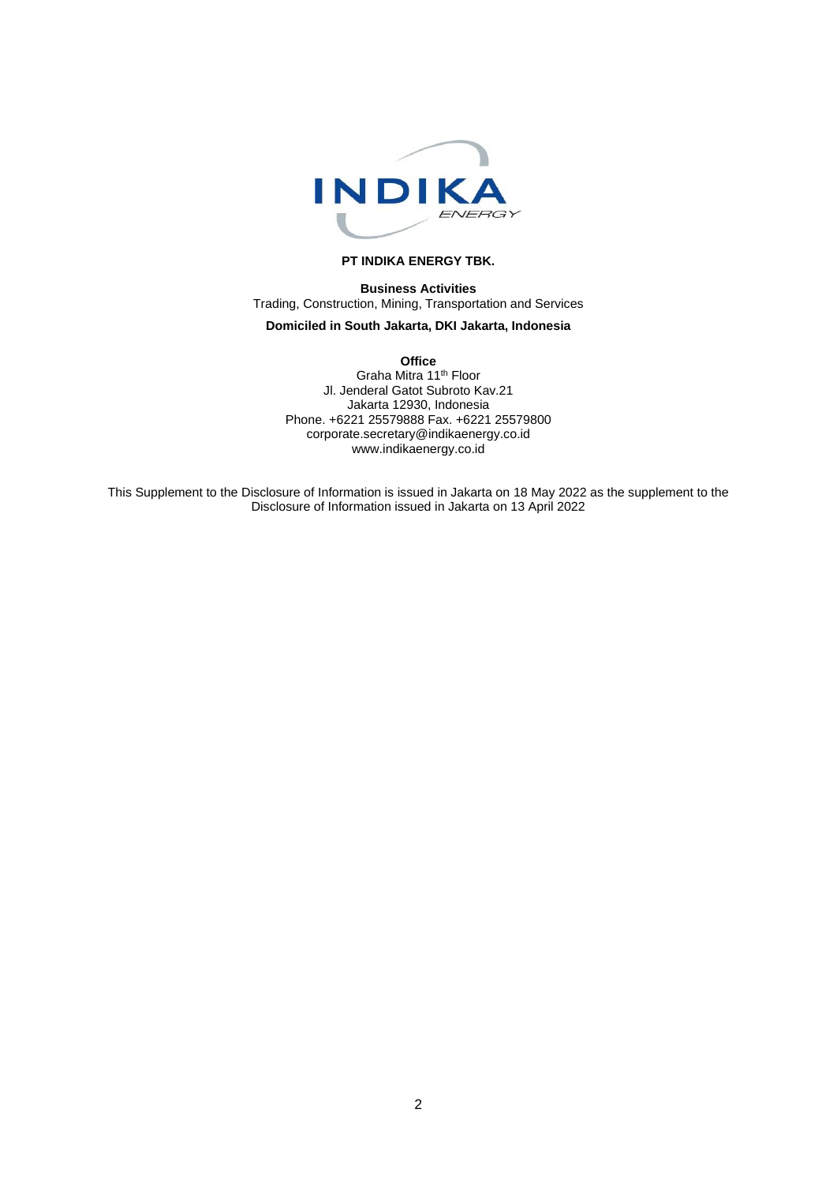

#### **PT INDIKA ENERGY TBK.**

**Business Activities** Trading, Construction, Mining, Transportation and Services

# **Domiciled in South Jakarta, DKI Jakarta, Indonesia**

**Office** Graha Mitra 11th Floor Jl. Jenderal Gatot Subroto Kav.21 Jakarta 12930, Indonesia Phone. +6221 25579888 Fax. +6221 25579800 corporate.secretary@indikaenergy.co.id www.indikaenergy.co.id

This Supplement to the Disclosure of Information is issued in Jakarta on 18 May 2022 as the supplement to the Disclosure of Information issued in Jakarta on 13 April 2022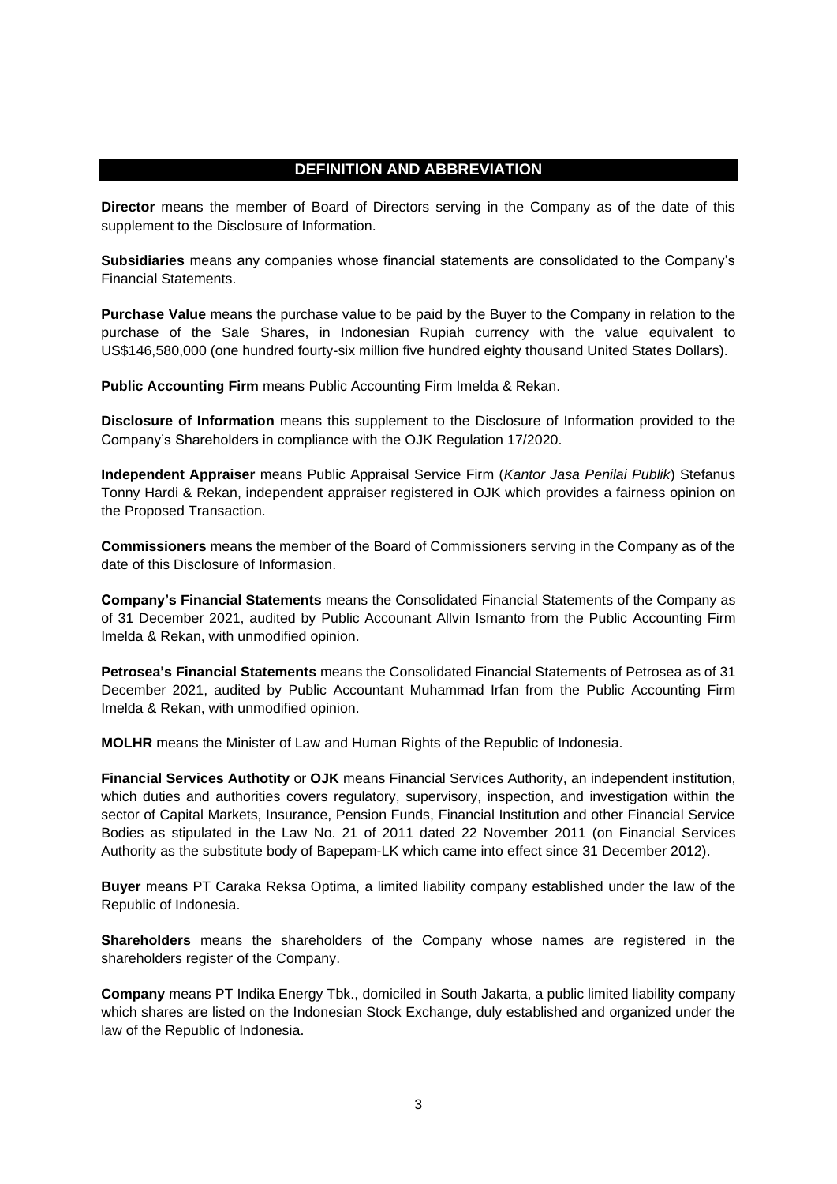# **DEFINITION AND ABBREVIATION**

**Director** means the member of Board of Directors serving in the Company as of the date of this supplement to the Disclosure of Information.

**Subsidiaries** means any companies whose financial statements are consolidated to the Company's Financial Statements.

**Purchase Value** means the purchase value to be paid by the Buyer to the Company in relation to the purchase of the Sale Shares, in Indonesian Rupiah currency with the value equivalent to US\$146,580,000 (one hundred fourty-six million five hundred eighty thousand United States Dollars).

**Public Accounting Firm** means Public Accounting Firm Imelda & Rekan.

**Disclosure of Information** means this supplement to the Disclosure of Information provided to the Company's Shareholders in compliance with the OJK Regulation 17/2020.

**Independent Appraiser** means Public Appraisal Service Firm (*Kantor Jasa Penilai Publik*) Stefanus Tonny Hardi & Rekan, independent appraiser registered in OJK which provides a fairness opinion on the Proposed Transaction.

**Commissioners** means the member of the Board of Commissioners serving in the Company as of the date of this Disclosure of Informasion.

**Company's Financial Statements** means the Consolidated Financial Statements of the Company as of 31 December 2021, audited by Public Accounant Allvin Ismanto from the Public Accounting Firm Imelda & Rekan, with unmodified opinion.

**Petrosea's Financial Statements** means the Consolidated Financial Statements of Petrosea as of 31 December 2021, audited by Public Accountant Muhammad Irfan from the Public Accounting Firm Imelda & Rekan, with unmodified opinion.

**MOLHR** means the Minister of Law and Human Rights of the Republic of Indonesia.

**Financial Services Authotity** or **OJK** means Financial Services Authority, an independent institution, which duties and authorities covers regulatory, supervisory, inspection, and investigation within the sector of Capital Markets, Insurance, Pension Funds, Financial Institution and other Financial Service Bodies as stipulated in the Law No. 21 of 2011 dated 22 November 2011 (on Financial Services Authority as the substitute body of Bapepam-LK which came into effect since 31 December 2012).

**Buyer** means PT Caraka Reksa Optima, a limited liability company established under the law of the Republic of Indonesia.

**Shareholders** means the shareholders of the Company whose names are registered in the shareholders register of the Company.

**Company** means PT Indika Energy Tbk., domiciled in South Jakarta, a public limited liability company which shares are listed on the Indonesian Stock Exchange, duly established and organized under the law of the Republic of Indonesia.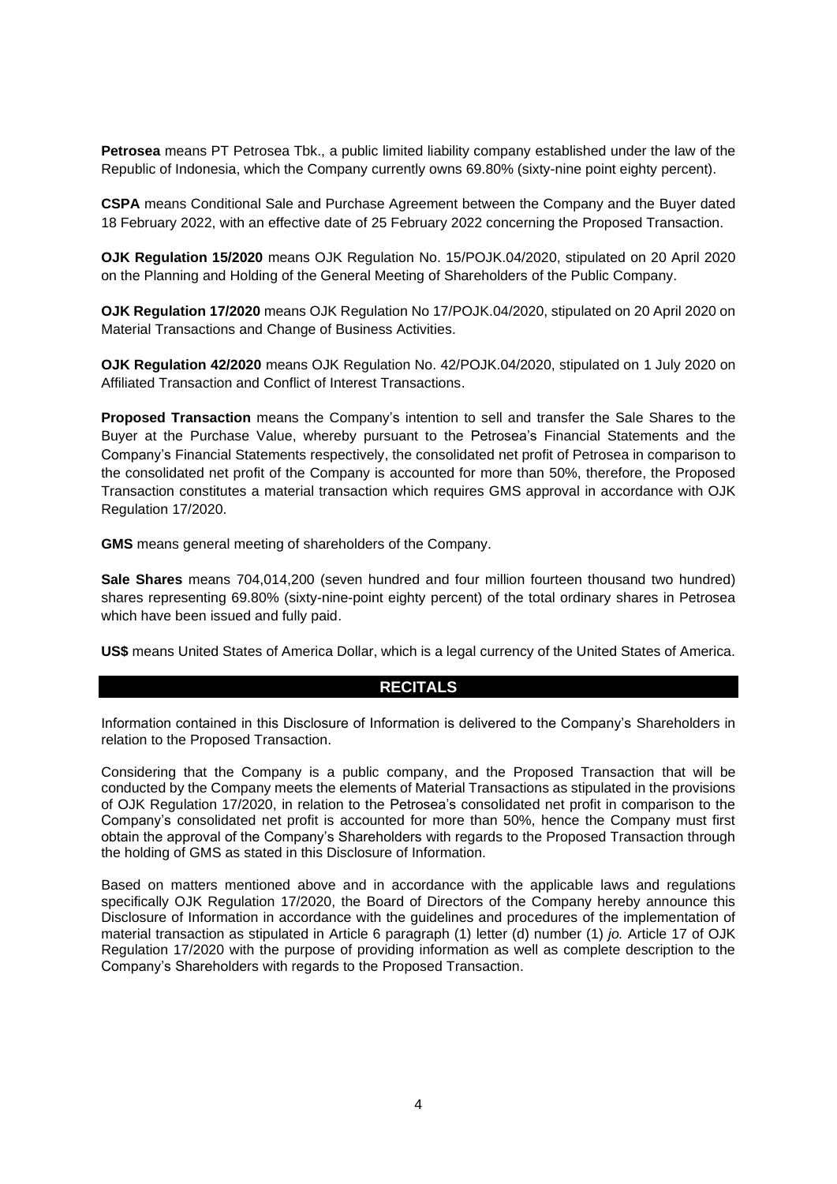**Petrosea** means PT Petrosea Tbk., a public limited liability company established under the law of the Republic of Indonesia, which the Company currently owns 69.80% (sixty-nine point eighty percent).

**CSPA** means Conditional Sale and Purchase Agreement between the Company and the Buyer dated 18 February 2022, with an effective date of 25 February 2022 concerning the Proposed Transaction.

**OJK Regulation 15/2020** means OJK Regulation No. 15/POJK.04/2020, stipulated on 20 April 2020 on the Planning and Holding of the General Meeting of Shareholders of the Public Company.

**OJK Regulation 17/2020** means OJK Regulation No 17/POJK.04/2020, stipulated on 20 April 2020 on Material Transactions and Change of Business Activities.

**OJK Regulation 42/2020** means OJK Regulation No. 42/POJK.04/2020, stipulated on 1 July 2020 on Affiliated Transaction and Conflict of Interest Transactions.

**Proposed Transaction** means the Company's intention to sell and transfer the Sale Shares to the Buyer at the Purchase Value, whereby pursuant to the Petrosea's Financial Statements and the Company's Financial Statements respectively, the consolidated net profit of Petrosea in comparison to the consolidated net profit of the Company is accounted for more than 50%, therefore, the Proposed Transaction constitutes a material transaction which requires GMS approval in accordance with OJK Regulation 17/2020.

**GMS** means general meeting of shareholders of the Company.

**Sale Shares** means 704,014,200 (seven hundred and four million fourteen thousand two hundred) shares representing 69.80% (sixty-nine-point eighty percent) of the total ordinary shares in Petrosea which have been issued and fully paid.

**US\$** means United States of America Dollar, which is a legal currency of the United States of America.

#### **RECITALS**

Information contained in this Disclosure of Information is delivered to the Company's Shareholders in relation to the Proposed Transaction.

Considering that the Company is a public company, and the Proposed Transaction that will be conducted by the Company meets the elements of Material Transactions as stipulated in the provisions of OJK Regulation 17/2020, in relation to the Petrosea's consolidated net profit in comparison to the Company's consolidated net profit is accounted for more than 50%, hence the Company must first obtain the approval of the Company's Shareholders with regards to the Proposed Transaction through the holding of GMS as stated in this Disclosure of Information.

Based on matters mentioned above and in accordance with the applicable laws and regulations specifically OJK Regulation 17/2020, the Board of Directors of the Company hereby announce this Disclosure of Information in accordance with the guidelines and procedures of the implementation of material transaction as stipulated in Article 6 paragraph (1) letter (d) number (1) *jo.* Article 17 of OJK Regulation 17/2020 with the purpose of providing information as well as complete description to the Company's Shareholders with regards to the Proposed Transaction.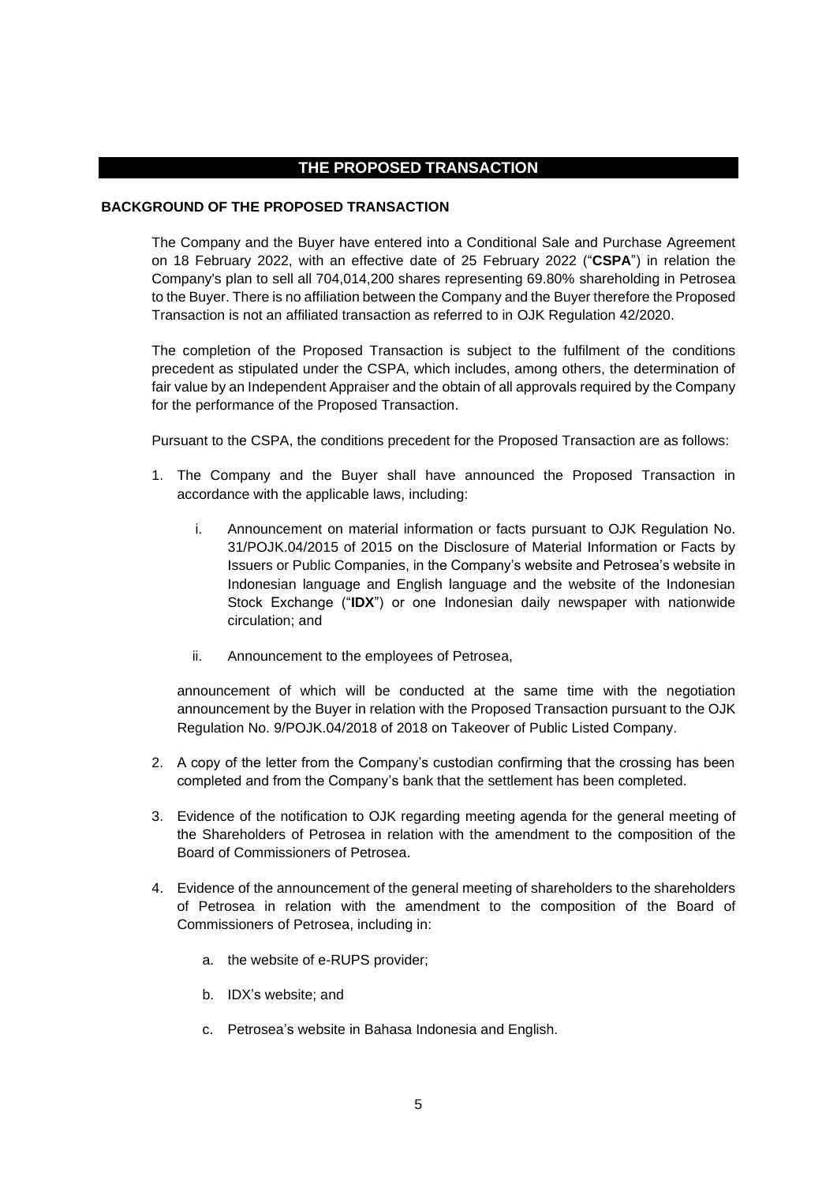# **THE PROPOSED TRANSACTION**

## **BACKGROUND OF THE PROPOSED TRANSACTION**

The Company and the Buyer have entered into a Conditional Sale and Purchase Agreement on 18 February 2022, with an effective date of 25 February 2022 ("**CSPA**") in relation the Company's plan to sell all 704,014,200 shares representing 69.80% shareholding in Petrosea to the Buyer. There is no affiliation between the Company and the Buyer therefore the Proposed Transaction is not an affiliated transaction as referred to in OJK Regulation 42/2020.

The completion of the Proposed Transaction is subject to the fulfilment of the conditions precedent as stipulated under the CSPA, which includes, among others, the determination of fair value by an Independent Appraiser and the obtain of all approvals required by the Company for the performance of the Proposed Transaction.

Pursuant to the CSPA, the conditions precedent for the Proposed Transaction are as follows:

- 1. The Company and the Buyer shall have announced the Proposed Transaction in accordance with the applicable laws, including:
	- i. Announcement on material information or facts pursuant to OJK Regulation No. 31/POJK.04/2015 of 2015 on the Disclosure of Material Information or Facts by Issuers or Public Companies, in the Company's website and Petrosea's website in Indonesian language and English language and the website of the Indonesian Stock Exchange ("**IDX**") or one Indonesian daily newspaper with nationwide circulation; and
	- ii. Announcement to the employees of Petrosea,

announcement of which will be conducted at the same time with the negotiation announcement by the Buyer in relation with the Proposed Transaction pursuant to the OJK Regulation No. 9/POJK.04/2018 of 2018 on Takeover of Public Listed Company.

- 2. A copy of the letter from the Company's custodian confirming that the crossing has been completed and from the Company's bank that the settlement has been completed.
- 3. Evidence of the notification to OJK regarding meeting agenda for the general meeting of the Shareholders of Petrosea in relation with the amendment to the composition of the Board of Commissioners of Petrosea.
- 4. Evidence of the announcement of the general meeting of shareholders to the shareholders of Petrosea in relation with the amendment to the composition of the Board of Commissioners of Petrosea, including in:
	- a. the website of e-RUPS provider;
	- b. IDX's website; and
	- c. Petrosea's website in Bahasa Indonesia and English.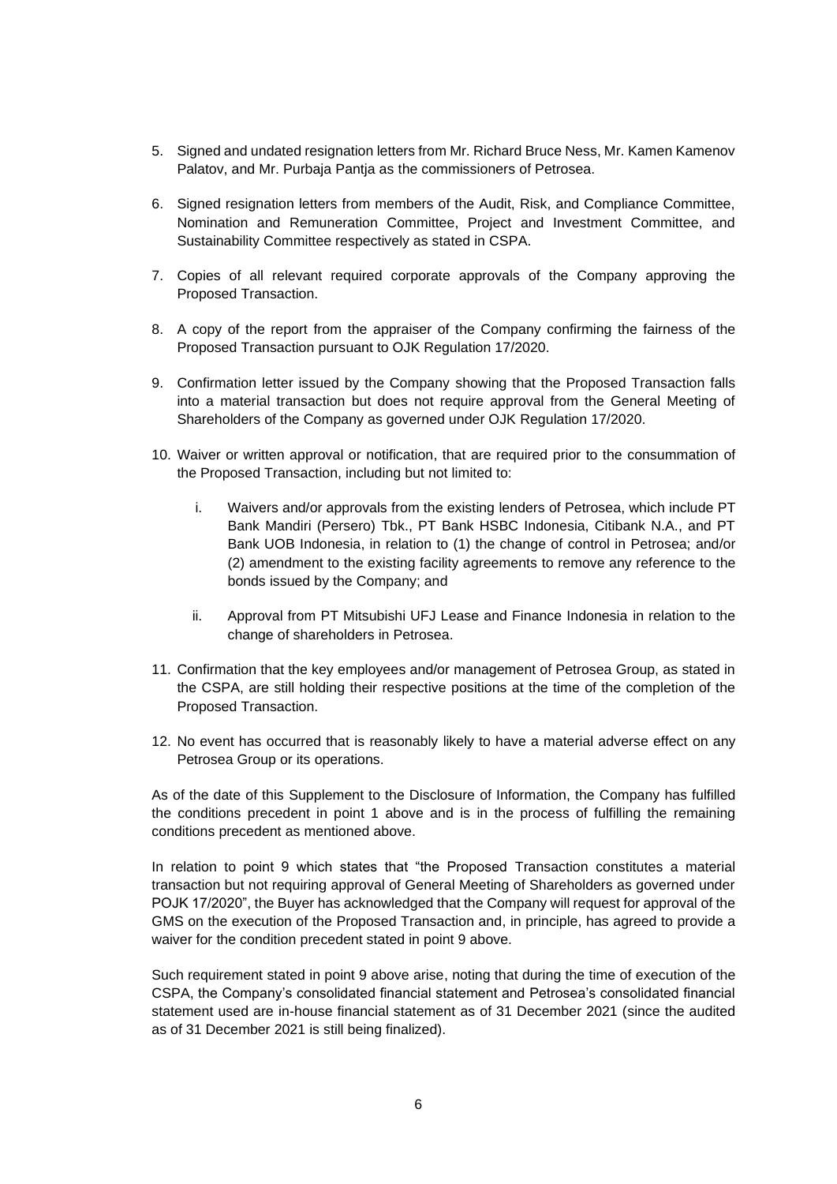- 5. Signed and undated resignation letters from Mr. Richard Bruce Ness, Mr. Kamen Kamenov Palatov, and Mr. Purbaja Pantja as the commissioners of Petrosea.
- 6. Signed resignation letters from members of the Audit, Risk, and Compliance Committee, Nomination and Remuneration Committee, Project and Investment Committee, and Sustainability Committee respectively as stated in CSPA.
- 7. Copies of all relevant required corporate approvals of the Company approving the Proposed Transaction.
- 8. A copy of the report from the appraiser of the Company confirming the fairness of the Proposed Transaction pursuant to OJK Regulation 17/2020.
- 9. Confirmation letter issued by the Company showing that the Proposed Transaction falls into a material transaction but does not require approval from the General Meeting of Shareholders of the Company as governed under OJK Regulation 17/2020.
- 10. Waiver or written approval or notification, that are required prior to the consummation of the Proposed Transaction, including but not limited to:
	- i. Waivers and/or approvals from the existing lenders of Petrosea, which include PT Bank Mandiri (Persero) Tbk., PT Bank HSBC Indonesia, Citibank N.A., and PT Bank UOB Indonesia, in relation to (1) the change of control in Petrosea; and/or (2) amendment to the existing facility agreements to remove any reference to the bonds issued by the Company; and
	- ii. Approval from PT Mitsubishi UFJ Lease and Finance Indonesia in relation to the change of shareholders in Petrosea.
- 11. Confirmation that the key employees and/or management of Petrosea Group, as stated in the CSPA, are still holding their respective positions at the time of the completion of the Proposed Transaction.
- 12. No event has occurred that is reasonably likely to have a material adverse effect on any Petrosea Group or its operations.

As of the date of this Supplement to the Disclosure of Information, the Company has fulfilled the conditions precedent in point 1 above and is in the process of fulfilling the remaining conditions precedent as mentioned above.

In relation to point 9 which states that "the Proposed Transaction constitutes a material transaction but not requiring approval of General Meeting of Shareholders as governed under POJK 17/2020", the Buyer has acknowledged that the Company will request for approval of the GMS on the execution of the Proposed Transaction and, in principle, has agreed to provide a waiver for the condition precedent stated in point 9 above.

Such requirement stated in point 9 above arise, noting that during the time of execution of the CSPA, the Company's consolidated financial statement and Petrosea's consolidated financial statement used are in-house financial statement as of 31 December 2021 (since the audited as of 31 December 2021 is still being finalized).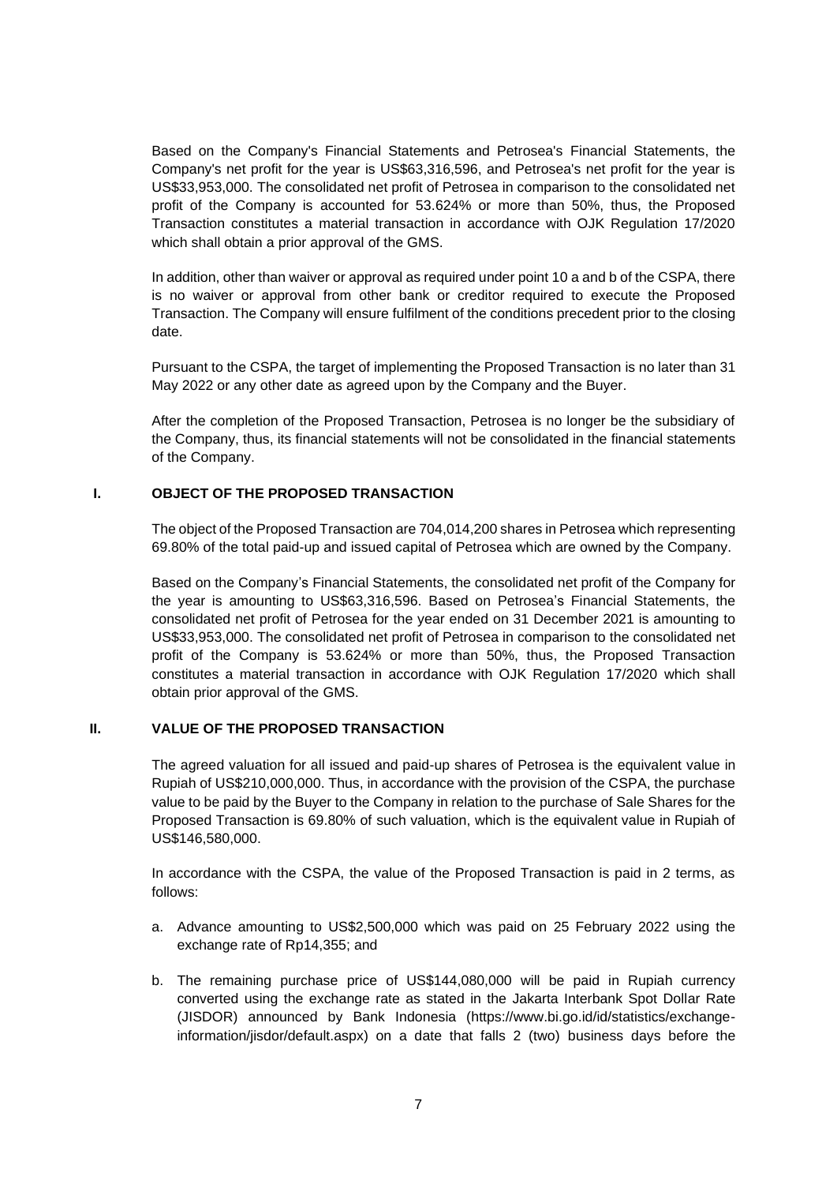Based on the Company's Financial Statements and Petrosea's Financial Statements, the Company's net profit for the year is US\$63,316,596, and Petrosea's net profit for the year is US\$33,953,000. The consolidated net profit of Petrosea in comparison to the consolidated net profit of the Company is accounted for 53.624% or more than 50%, thus, the Proposed Transaction constitutes a material transaction in accordance with OJK Regulation 17/2020 which shall obtain a prior approval of the GMS.

In addition, other than waiver or approval as required under point 10 a and b of the CSPA, there is no waiver or approval from other bank or creditor required to execute the Proposed Transaction. The Company will ensure fulfilment of the conditions precedent prior to the closing date.

Pursuant to the CSPA, the target of implementing the Proposed Transaction is no later than 31 May 2022 or any other date as agreed upon by the Company and the Buyer.

After the completion of the Proposed Transaction, Petrosea is no longer be the subsidiary of the Company, thus, its financial statements will not be consolidated in the financial statements of the Company.

# **I. OBJECT OF THE PROPOSED TRANSACTION**

The object of the Proposed Transaction are 704,014,200 shares in Petrosea which representing 69.80% of the total paid-up and issued capital of Petrosea which are owned by the Company.

Based on the Company's Financial Statements, the consolidated net profit of the Company for the year is amounting to US\$63,316,596. Based on Petrosea's Financial Statements, the consolidated net profit of Petrosea for the year ended on 31 December 2021 is amounting to US\$33,953,000. The consolidated net profit of Petrosea in comparison to the consolidated net profit of the Company is 53.624% or more than 50%, thus, the Proposed Transaction constitutes a material transaction in accordance with OJK Regulation 17/2020 which shall obtain prior approval of the GMS.

# **II. VALUE OF THE PROPOSED TRANSACTION**

The agreed valuation for all issued and paid-up shares of Petrosea is the equivalent value in Rupiah of US\$210,000,000. Thus, in accordance with the provision of the CSPA, the purchase value to be paid by the Buyer to the Company in relation to the purchase of Sale Shares for the Proposed Transaction is 69.80% of such valuation, which is the equivalent value in Rupiah of US\$146,580,000.

In accordance with the CSPA, the value of the Proposed Transaction is paid in 2 terms, as follows:

- a. Advance amounting to US\$2,500,000 which was paid on 25 February 2022 using the exchange rate of Rp14,355; and
- b. The remaining purchase price of US\$144,080,000 will be paid in Rupiah currency converted using the exchange rate as stated in the Jakarta Interbank Spot Dollar Rate (JISDOR) announced by Bank Indonesia (https://www.bi.go.id/id/statistics/exchangeinformation/jisdor/default.aspx) on a date that falls 2 (two) business days before the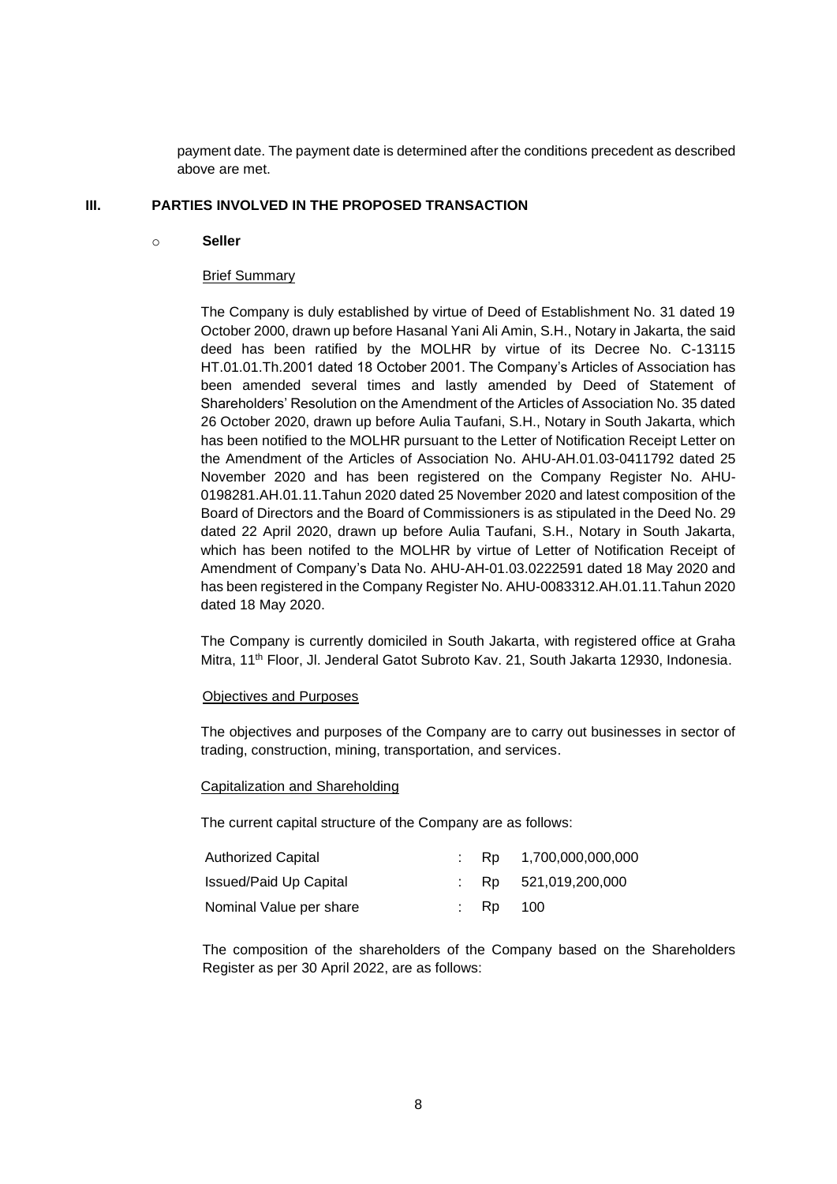payment date. The payment date is determined after the conditions precedent as described above are met.

#### **III. PARTIES INVOLVED IN THE PROPOSED TRANSACTION**

#### o **Seller**

#### Brief Summary

The Company is duly established by virtue of Deed of Establishment No. 31 dated 19 October 2000, drawn up before Hasanal Yani Ali Amin, S.H., Notary in Jakarta, the said deed has been ratified by the MOLHR by virtue of its Decree No. C-13115 HT.01.01.Th.2001 dated 18 October 2001. The Company's Articles of Association has been amended several times and lastly amended by Deed of Statement of Shareholders' Resolution on the Amendment of the Articles of Association No. 35 dated 26 October 2020, drawn up before Aulia Taufani, S.H., Notary in South Jakarta, which has been notified to the MOLHR pursuant to the Letter of Notification Receipt Letter on the Amendment of the Articles of Association No. AHU-AH.01.03-0411792 dated 25 November 2020 and has been registered on the Company Register No. AHU-0198281.AH.01.11.Tahun 2020 dated 25 November 2020 and latest composition of the Board of Directors and the Board of Commissioners is as stipulated in the Deed No. 29 dated 22 April 2020, drawn up before Aulia Taufani, S.H., Notary in South Jakarta, which has been notifed to the MOLHR by virtue of Letter of Notification Receipt of Amendment of Company's Data No. AHU-AH-01.03.0222591 dated 18 May 2020 and has been registered in the Company Register No. AHU-0083312.AH.01.11.Tahun 2020 dated 18 May 2020.

The Company is currently domiciled in South Jakarta, with registered office at Graha Mitra, 11th Floor, Jl. Jenderal Gatot Subroto Kav. 21, South Jakarta 12930, Indonesia.

#### Objectives and Purposes

The objectives and purposes of the Company are to carry out businesses in sector of trading, construction, mining, transportation, and services.

#### Capitalization and Shareholding

The current capital structure of the Company are as follows:

| <b>Authorized Capital</b>     |          | $\therefore$ Rp 1,700,000,000,000 |
|-------------------------------|----------|-----------------------------------|
| <b>Issued/Paid Up Capital</b> |          | : $Rp$ 521,019,200,000            |
| Nominal Value per share       | : Rp 100 |                                   |

The composition of the shareholders of the Company based on the Shareholders Register as per 30 April 2022, are as follows: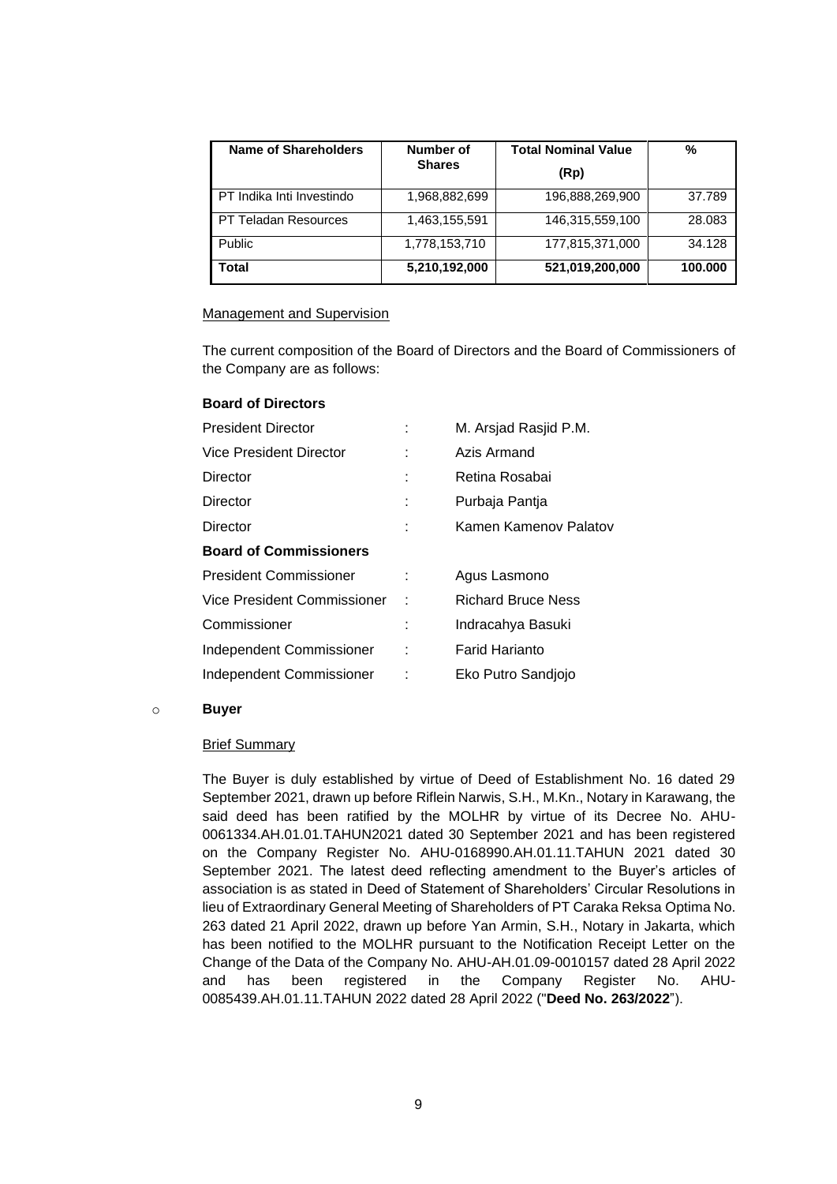| <b>Name of Shareholders</b> | Number of     | <b>Total Nominal Value</b> | %       |
|-----------------------------|---------------|----------------------------|---------|
|                             | <b>Shares</b> | (Rp)                       |         |
| PT Indika Inti Investindo   | 1,968,882,699 | 196,888,269,900            | 37.789  |
| PT Teladan Resources        | 1,463,155,591 | 146,315,559,100            | 28.083  |
| Public                      | 1,778,153,710 | 177,815,371,000            | 34.128  |
| Total                       | 5,210,192,000 | 521,019,200,000            | 100.000 |

#### Management and Supervision

The current composition of the Board of Directors and the Board of Commissioners of the Company are as follows:

#### **Board of Directors**

|   | M. Arsjad Rasjid P.M.     |
|---|---------------------------|
|   | Azis Armand               |
|   | Retina Rosabai            |
|   | Purbaja Pantja            |
|   | Kamen Kamenov Palatov     |
|   |                           |
|   | Agus Lasmono              |
|   | <b>Richard Bruce Ness</b> |
|   | Indracahya Basuki         |
| ÷ | <b>Farid Harianto</b>     |
| ÷ | Eko Putro Sandiojo        |
|   |                           |

#### o **Buyer**

#### **Brief Summary**

The Buyer is duly established by virtue of Deed of Establishment No. 16 dated 29 September 2021, drawn up before Riflein Narwis, S.H., M.Kn., Notary in Karawang, the said deed has been ratified by the MOLHR by virtue of its Decree No. AHU-0061334.AH.01.01.TAHUN2021 dated 30 September 2021 and has been registered on the Company Register No. AHU-0168990.AH.01.11.TAHUN 2021 dated 30 September 2021. The latest deed reflecting amendment to the Buyer's articles of association is as stated in Deed of Statement of Shareholders' Circular Resolutions in lieu of Extraordinary General Meeting of Shareholders of PT Caraka Reksa Optima No. 263 dated 21 April 2022, drawn up before Yan Armin, S.H., Notary in Jakarta, which has been notified to the MOLHR pursuant to the Notification Receipt Letter on the Change of the Data of the Company No. AHU-AH.01.09-0010157 dated 28 April 2022 and has been registered in the Company Register No. AHU-0085439.AH.01.11.TAHUN 2022 dated 28 April 2022 ("**Deed No. 263/2022**").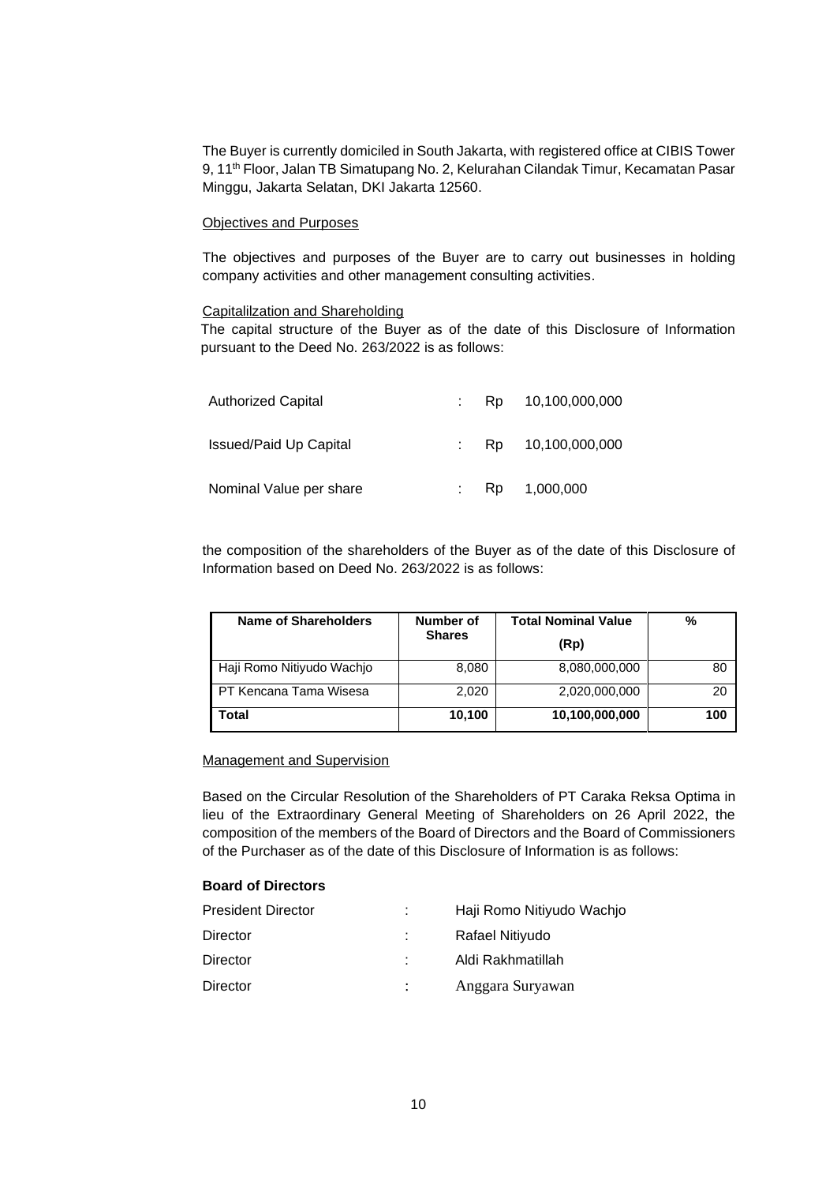The Buyer is currently domiciled in South Jakarta, with registered office at CIBIS Tower 9, 11<sup>th</sup> Floor, Jalan TB Simatupang No. 2, Kelurahan Cilandak Timur, Kecamatan Pasar Minggu, Jakarta Selatan, DKI Jakarta 12560.

#### Objectives and Purposes

The objectives and purposes of the Buyer are to carry out businesses in holding company activities and other management consulting activities.

#### Capitalilzation and Shareholding

The capital structure of the Buyer as of the date of this Disclosure of Information pursuant to the Deed No. 263/2022 is as follows:

| <b>Authorized Capital</b>     | Rp. | 10,100,000,000    |
|-------------------------------|-----|-------------------|
| <b>Issued/Paid Up Capital</b> |     | Rp 10,100,000,000 |
| Nominal Value per share       |     | Rp 1,000,000      |

the composition of the shareholders of the Buyer as of the date of this Disclosure of Information based on Deed No. 263/2022 is as follows:

| Name of Shareholders      | Number of<br><b>Shares</b> | <b>Total Nominal Value</b><br>(Rp) | %   |
|---------------------------|----------------------------|------------------------------------|-----|
| Haji Romo Nitiyudo Wachjo | 8,080                      | 8,080,000,000                      | 80  |
| PT Kencana Tama Wisesa    | 2,020                      | 2,020,000,000                      | 20  |
| Total                     | 10,100                     | 10,100,000,000                     | 100 |

#### Management and Supervision

Based on the Circular Resolution of the Shareholders of PT Caraka Reksa Optima in lieu of the Extraordinary General Meeting of Shareholders on 26 April 2022, the composition of the members of the Board of Directors and the Board of Commissioners of the Purchaser as of the date of this Disclosure of Information is as follows:

## **Board of Directors**

| <b>President Director</b> | ÷ | Haji Romo Nitiyudo Wachjo |
|---------------------------|---|---------------------------|
| Director                  |   | Rafael Nitiyudo           |
| Director                  |   | Aldi Rakhmatillah         |
| Director                  |   | Anggara Suryawan          |
|                           |   |                           |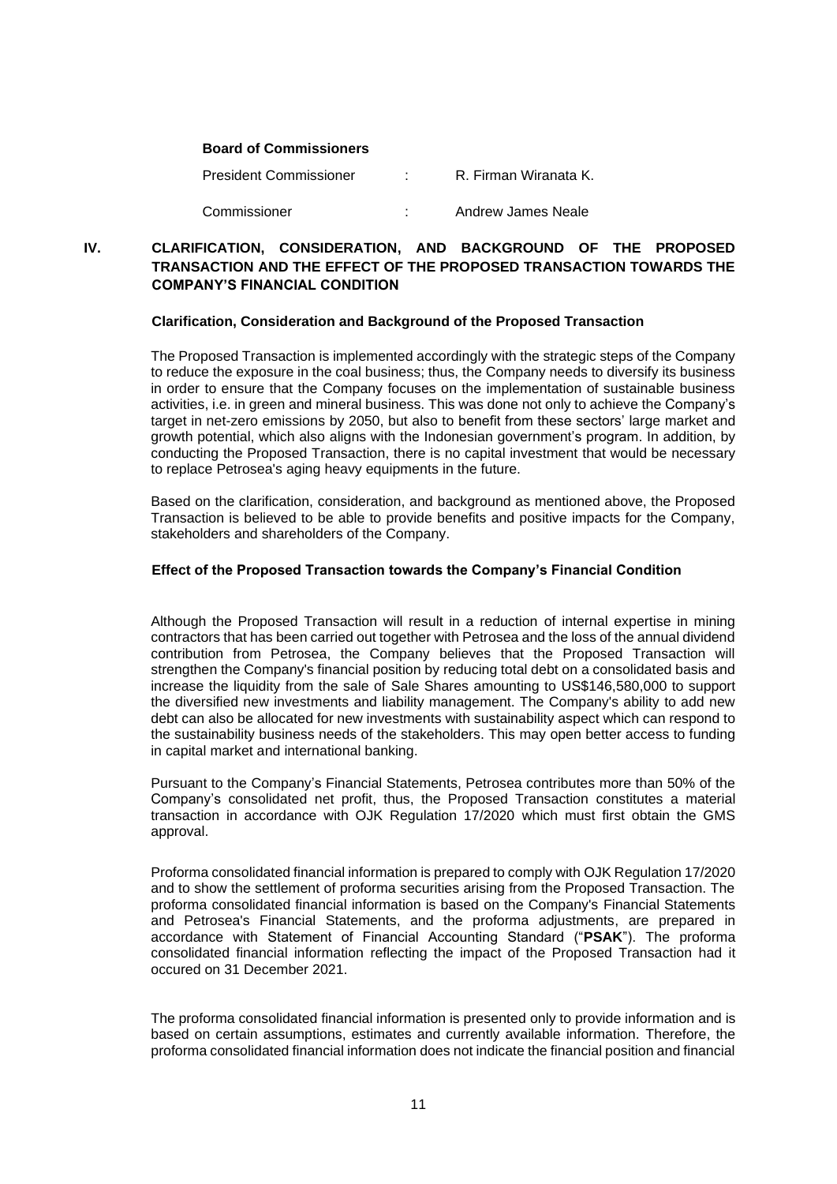#### **Board of Commissioners**

| President Commissioner | R. Firman Wiranata K. |
|------------------------|-----------------------|
| Commissioner           | Andrew James Neale    |

# **IV. CLARIFICATION, CONSIDERATION, AND BACKGROUND OF THE PROPOSED TRANSACTION AND THE EFFECT OF THE PROPOSED TRANSACTION TOWARDS THE COMPANY'S FINANCIAL CONDITION**

#### **Clarification, Consideration and Background of the Proposed Transaction**

The Proposed Transaction is implemented accordingly with the strategic steps of the Company to reduce the exposure in the coal business; thus, the Company needs to diversify its business in order to ensure that the Company focuses on the implementation of sustainable business activities, i.e. in green and mineral business. This was done not only to achieve the Company's target in net-zero emissions by 2050, but also to benefit from these sectors' large market and growth potential, which also aligns with the Indonesian government's program. In addition, by conducting the Proposed Transaction, there is no capital investment that would be necessary to replace Petrosea's aging heavy equipments in the future.

Based on the clarification, consideration, and background as mentioned above, the Proposed Transaction is believed to be able to provide benefits and positive impacts for the Company, stakeholders and shareholders of the Company.

## **Effect of the Proposed Transaction towards the Company's Financial Condition**

Although the Proposed Transaction will result in a reduction of internal expertise in mining contractors that has been carried out together with Petrosea and the loss of the annual dividend contribution from Petrosea, the Company believes that the Proposed Transaction will strengthen the Company's financial position by reducing total debt on a consolidated basis and increase the liquidity from the sale of Sale Shares amounting to US\$146,580,000 to support the diversified new investments and liability management. The Company's ability to add new debt can also be allocated for new investments with sustainability aspect which can respond to the sustainability business needs of the stakeholders. This may open better access to funding in capital market and international banking.

Pursuant to the Company's Financial Statements, Petrosea contributes more than 50% of the Company's consolidated net profit, thus, the Proposed Transaction constitutes a material transaction in accordance with OJK Regulation 17/2020 which must first obtain the GMS approval.

Proforma consolidated financial information is prepared to comply with OJK Regulation 17/2020 and to show the settlement of proforma securities arising from the Proposed Transaction. The proforma consolidated financial information is based on the Company's Financial Statements and Petrosea's Financial Statements, and the proforma adjustments, are prepared in accordance with Statement of Financial Accounting Standard ("**PSAK**"). The proforma consolidated financial information reflecting the impact of the Proposed Transaction had it occured on 31 December 2021.

The proforma consolidated financial information is presented only to provide information and is based on certain assumptions, estimates and currently available information. Therefore, the proforma consolidated financial information does not indicate the financial position and financial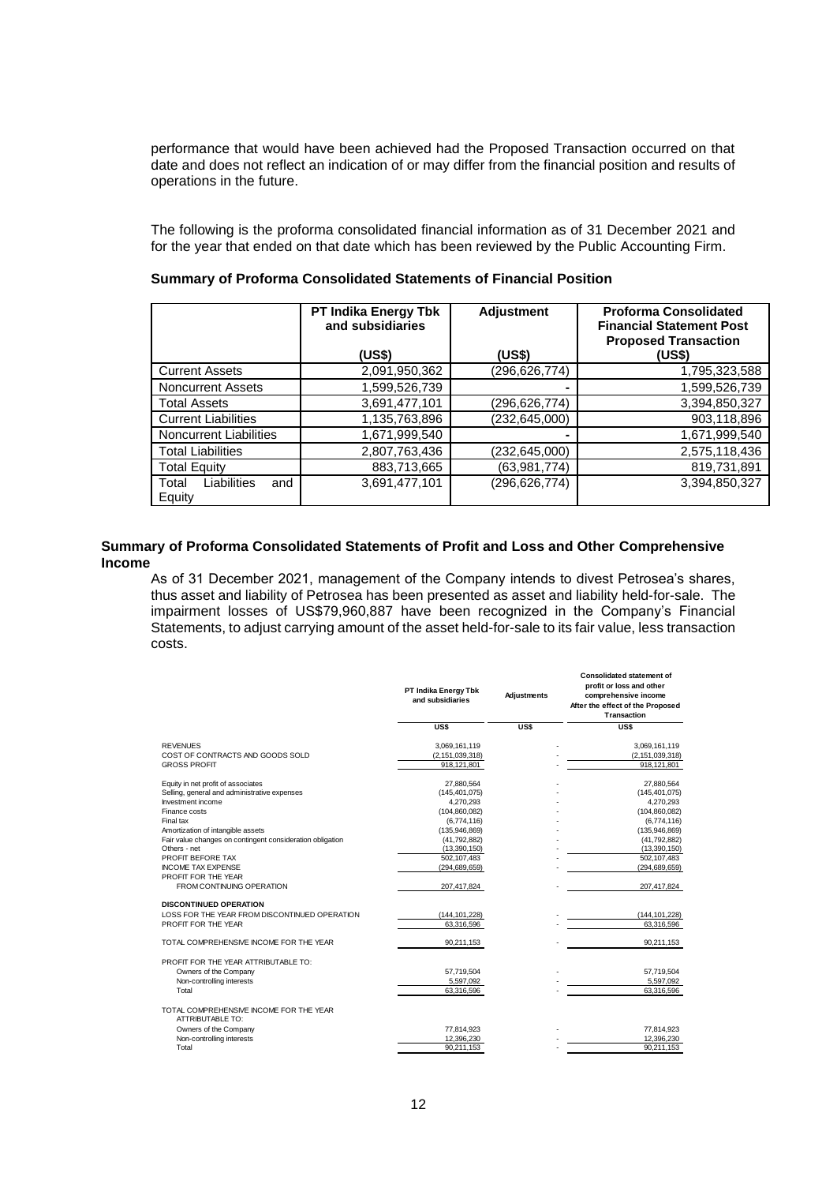performance that would have been achieved had the Proposed Transaction occurred on that date and does not reflect an indication of or may differ from the financial position and results of operations in the future.

The following is the proforma consolidated financial information as of 31 December 2021 and for the year that ended on that date which has been reviewed by the Public Accounting Firm.

|                                       | <b>PT Indika Energy Tbk</b><br>and subsidiaries<br>(US\$) | <b>Adjustment</b><br>(US\$) | <b>Proforma Consolidated</b><br><b>Financial Statement Post</b><br><b>Proposed Transaction</b><br>(US\$) |
|---------------------------------------|-----------------------------------------------------------|-----------------------------|----------------------------------------------------------------------------------------------------------|
| <b>Current Assets</b>                 | 2,091,950,362                                             | (296,626,774)               | 1,795,323,588                                                                                            |
| <b>Noncurrent Assets</b>              | 1,599,526,739                                             | $\overline{\phantom{0}}$    | 1,599,526,739                                                                                            |
| <b>Total Assets</b>                   | 3,691,477,101                                             | (296,626,774)               | 3,394,850,327                                                                                            |
| <b>Current Liabilities</b>            | 1,135,763,896                                             | (232,645,000)               | 903,118,896                                                                                              |
| <b>Noncurrent Liabilities</b>         | 1,671,999,540                                             |                             | 1,671,999,540                                                                                            |
| <b>Total Liabilities</b>              | 2,807,763,436                                             | (232,645,000)               | 2,575,118,436                                                                                            |
| <b>Total Equity</b>                   | 883,713,665                                               | (63,981,774)                | 819,731,891                                                                                              |
| Liabilities<br>Total<br>and<br>Equity | 3,691,477,101                                             | (296, 626, 774)             | 3,394,850,327                                                                                            |

#### **Summary of Proforma Consolidated Statements of Financial Position**

## **Summary of Proforma Consolidated Statements of Profit and Loss and Other Comprehensive Income**

As of 31 December 2021, management of the Company intends to divest Petrosea's shares, thus asset and liability of Petrosea has been presented as asset and liability held-for-sale. The impairment losses of US\$79,960,887 have been recognized in the Company's Financial Statements, to adjust carrying amount of the asset held-for-sale to its fair value, less transaction costs.

|                                                                    | PT Indika Energy Tbk<br>and subsidiaries | Adjustments | <b>Consolidated statement of</b><br>profit or loss and other<br>comprehensive income<br>After the effect of the Proposed<br>Transaction |
|--------------------------------------------------------------------|------------------------------------------|-------------|-----------------------------------------------------------------------------------------------------------------------------------------|
|                                                                    | US\$                                     | US\$        | US\$                                                                                                                                    |
| <b>REVENUES</b>                                                    | 3,069,161,119                            |             | 3,069,161,119                                                                                                                           |
| COST OF CONTRACTS AND GOODS SOLD                                   | (2, 151, 039, 318)                       |             | (2, 151, 039, 318)                                                                                                                      |
| <b>GROSS PROFIT</b>                                                | 918, 121, 801                            |             | 918, 121, 801                                                                                                                           |
| Equity in net profit of associates                                 | 27,880,564                               |             | 27,880,564                                                                                                                              |
| Selling, general and administrative expenses                       | (145, 401, 075)                          |             | (145, 401, 075)                                                                                                                         |
| Investment income                                                  | 4,270,293                                |             | 4,270,293                                                                                                                               |
| Finance costs                                                      | (104, 860, 082)                          |             | (104, 860, 082)                                                                                                                         |
| Final tax                                                          | (6,774,116)                              |             | (6,774,116)                                                                                                                             |
| Amortization of intangible assets                                  | (135, 946, 869)                          |             | (135, 946, 869)                                                                                                                         |
| Fair value changes on contingent consideration obligation          | (41, 792, 882)                           |             | (41,792,882)                                                                                                                            |
| Others - net                                                       | (13,390,150)                             |             | (13,390,150)                                                                                                                            |
| PROFIT BEFORE TAX                                                  | 502.107.483                              |             | 502.107.483                                                                                                                             |
| <b>INCOME TAX EXPENSE</b>                                          | (294, 689, 659)                          |             | (294, 689, 659)                                                                                                                         |
| PROFIT FOR THE YEAR                                                |                                          |             |                                                                                                                                         |
| <b>FROM CONTINUING OPERATION</b>                                   | 207,417,824                              |             | 207,417,824                                                                                                                             |
| <b>DISCONTINUED OPERATION</b>                                      |                                          |             |                                                                                                                                         |
| LOSS FOR THE YEAR FROM DISCONTINUED OPERATION                      | (144, 101, 228)                          |             | (144, 101, 228)                                                                                                                         |
| PROFIT FOR THE YEAR                                                | 63,316,596                               |             | 63,316,596                                                                                                                              |
| TOTAL COMPREHENSIVE INCOME FOR THE YEAR                            | 90,211,153                               |             | 90,211,153                                                                                                                              |
| PROFIT FOR THE YEAR ATTRIBUTABLE TO:                               |                                          |             |                                                                                                                                         |
| Owners of the Company                                              | 57,719,504                               |             | 57,719,504                                                                                                                              |
| Non-controlling interests                                          | 5,597,092                                |             | 5,597,092                                                                                                                               |
| Total                                                              | 63,316,596                               |             | 63,316,596                                                                                                                              |
| TOTAL COMPREHENSIVE INCOME FOR THE YEAR<br><b>ATTRIBUTABLE TO:</b> |                                          |             |                                                                                                                                         |
| Owners of the Company                                              | 77,814,923                               |             | 77,814,923                                                                                                                              |
| Non-controlling interests                                          | 12,396,230                               |             | 12,396,230                                                                                                                              |
| Total                                                              | 90,211,153                               |             | 90,211,153                                                                                                                              |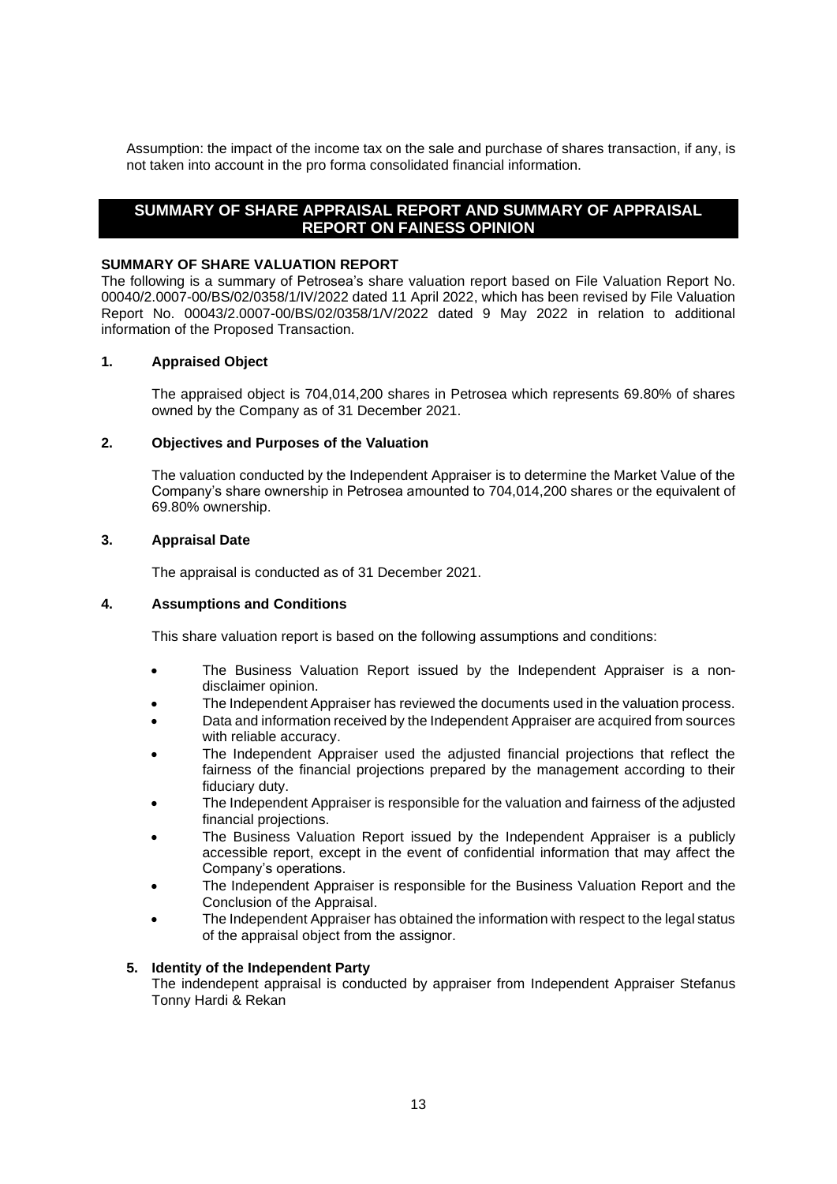Assumption: the impact of the income tax on the sale and purchase of shares transaction, if any, is not taken into account in the pro forma consolidated financial information.

# **SUMMARY OF SHARE APPRAISAL REPORT AND SUMMARY OF APPRAISAL REPORT ON FAINESS OPINION**

#### **SUMMARY OF SHARE VALUATION REPORT**

The following is a summary of Petrosea's share valuation report based on File Valuation Report No. 00040/2.0007-00/BS/02/0358/1/IV/2022 dated 11 April 2022, which has been revised by File Valuation Report No. 00043/2.0007-00/BS/02/0358/1/V/2022 dated 9 May 2022 in relation to additional information of the Proposed Transaction.

## **1. Appraised Object**

The appraised object is 704,014,200 shares in Petrosea which represents 69.80% of shares owned by the Company as of 31 December 2021.

## **2. Objectives and Purposes of the Valuation**

The valuation conducted by the Independent Appraiser is to determine the Market Value of the Company's share ownership in Petrosea amounted to 704,014,200 shares or the equivalent of 69.80% ownership.

## **3. Appraisal Date**

The appraisal is conducted as of 31 December 2021.

#### **4. Assumptions and Conditions**

This share valuation report is based on the following assumptions and conditions:

- The Business Valuation Report issued by the Independent Appraiser is a nondisclaimer opinion.
- The Independent Appraiser has reviewed the documents used in the valuation process.
- Data and information received by the Independent Appraiser are acquired from sources with reliable accuracy.
- The Independent Appraiser used the adjusted financial projections that reflect the fairness of the financial projections prepared by the management according to their fiduciary duty.
- The Independent Appraiser is responsible for the valuation and fairness of the adjusted financial projections.
- The Business Valuation Report issued by the Independent Appraiser is a publicly accessible report, except in the event of confidential information that may affect the Company's operations.
- The Independent Appraiser is responsible for the Business Valuation Report and the Conclusion of the Appraisal.
- The Independent Appraiser has obtained the information with respect to the legal status of the appraisal object from the assignor.

# **5. Identity of the Independent Party**

The indendepent appraisal is conducted by appraiser from Independent Appraiser Stefanus Tonny Hardi & Rekan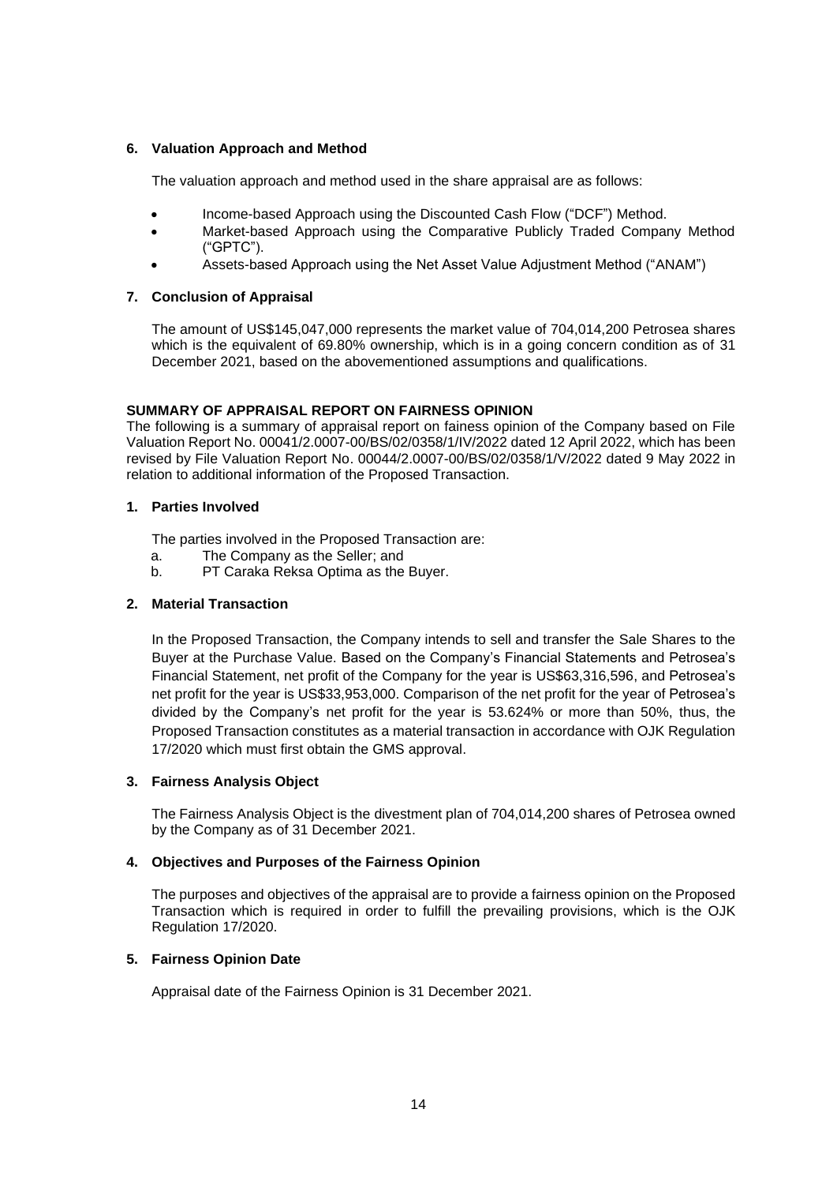# **6. Valuation Approach and Method**

The valuation approach and method used in the share appraisal are as follows:

- Income-based Approach using the Discounted Cash Flow ("DCF") Method.
- Market-based Approach using the Comparative Publicly Traded Company Method ("GPTC").
- Assets-based Approach using the Net Asset Value Adjustment Method ("ANAM")

# **7. Conclusion of Appraisal**

The amount of US\$145,047,000 represents the market value of 704,014,200 Petrosea shares which is the equivalent of 69.80% ownership, which is in a going concern condition as of 31 December 2021, based on the abovementioned assumptions and qualifications.

# **SUMMARY OF APPRAISAL REPORT ON FAIRNESS OPINION**

The following is a summary of appraisal report on fainess opinion of the Company based on File Valuation Report No. 00041/2.0007-00/BS/02/0358/1/IV/2022 dated 12 April 2022, which has been revised by File Valuation Report No. 00044/2.0007-00/BS/02/0358/1/V/2022 dated 9 May 2022 in relation to additional information of the Proposed Transaction.

# **1. Parties Involved**

The parties involved in the Proposed Transaction are:

- a. The Company as the Seller; and
- b. PT Caraka Reksa Optima as the Buyer.

# **2. Material Transaction**

In the Proposed Transaction, the Company intends to sell and transfer the Sale Shares to the Buyer at the Purchase Value. Based on the Company's Financial Statements and Petrosea's Financial Statement, net profit of the Company for the year is US\$63,316,596, and Petrosea's net profit for the year is US\$33,953,000. Comparison of the net profit for the year of Petrosea's divided by the Company's net profit for the year is 53.624% or more than 50%, thus, the Proposed Transaction constitutes as a material transaction in accordance with OJK Regulation 17/2020 which must first obtain the GMS approval.

# **3. Fairness Analysis Object**

The Fairness Analysis Object is the divestment plan of 704,014,200 shares of Petrosea owned by the Company as of 31 December 2021.

# **4. Objectives and Purposes of the Fairness Opinion**

The purposes and objectives of the appraisal are to provide a fairness opinion on the Proposed Transaction which is required in order to fulfill the prevailing provisions, which is the OJK Regulation 17/2020.

# **5. Fairness Opinion Date**

Appraisal date of the Fairness Opinion is 31 December 2021.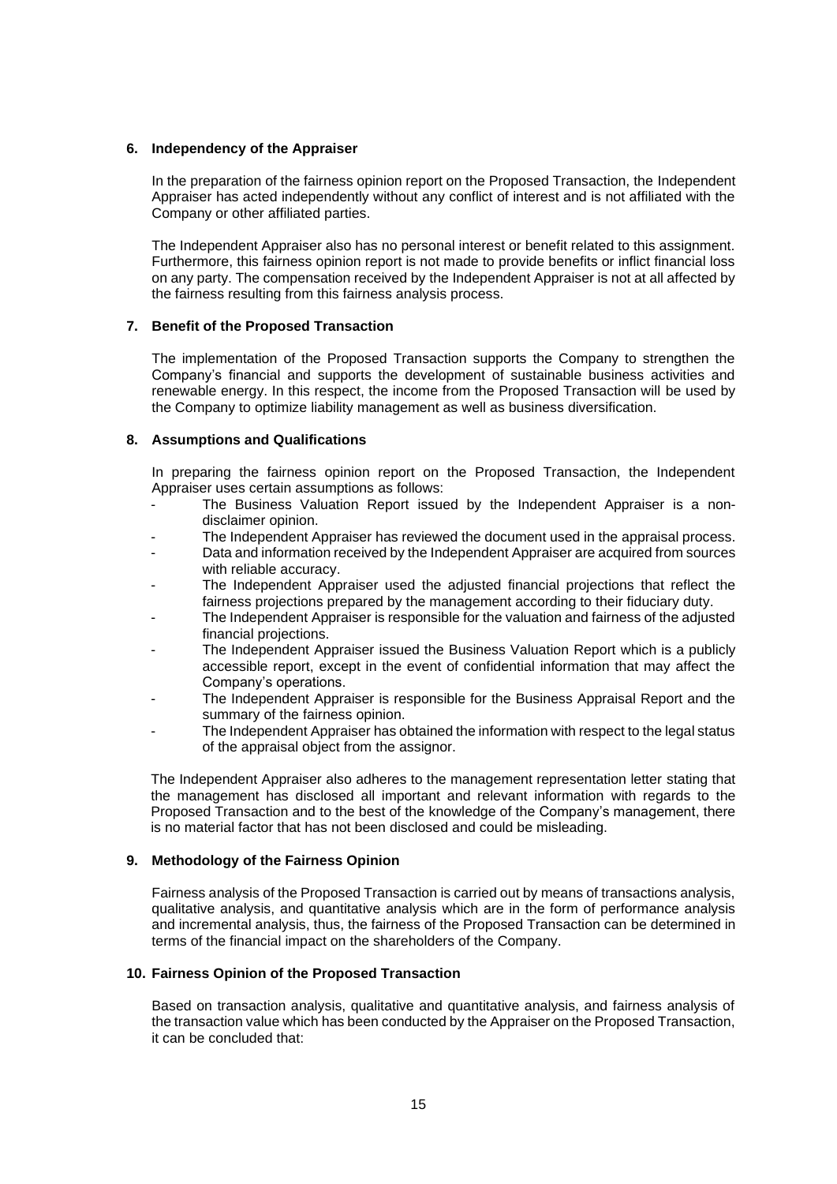## **6. Independency of the Appraiser**

In the preparation of the fairness opinion report on the Proposed Transaction, the Independent Appraiser has acted independently without any conflict of interest and is not affiliated with the Company or other affiliated parties.

The Independent Appraiser also has no personal interest or benefit related to this assignment. Furthermore, this fairness opinion report is not made to provide benefits or inflict financial loss on any party. The compensation received by the Independent Appraiser is not at all affected by the fairness resulting from this fairness analysis process.

# **7. Benefit of the Proposed Transaction**

The implementation of the Proposed Transaction supports the Company to strengthen the Company's financial and supports the development of sustainable business activities and renewable energy. In this respect, the income from the Proposed Transaction will be used by the Company to optimize liability management as well as business diversification.

## **8. Assumptions and Qualifications**

In preparing the fairness opinion report on the Proposed Transaction, the Independent Appraiser uses certain assumptions as follows:

- The Business Valuation Report issued by the Independent Appraiser is a nondisclaimer opinion.
- The Independent Appraiser has reviewed the document used in the appraisal process.
- Data and information received by the Independent Appraiser are acquired from sources with reliable accuracy.
- The Independent Appraiser used the adjusted financial projections that reflect the fairness projections prepared by the management according to their fiduciary duty.
- The Independent Appraiser is responsible for the valuation and fairness of the adjusted financial projections.
- The Independent Appraiser issued the Business Valuation Report which is a publicly accessible report, except in the event of confidential information that may affect the Company's operations.
- The Independent Appraiser is responsible for the Business Appraisal Report and the summary of the fairness opinion.
- The Independent Appraiser has obtained the information with respect to the legal status of the appraisal object from the assignor.

The Independent Appraiser also adheres to the management representation letter stating that the management has disclosed all important and relevant information with regards to the Proposed Transaction and to the best of the knowledge of the Company's management, there is no material factor that has not been disclosed and could be misleading.

#### **9. Methodology of the Fairness Opinion**

Fairness analysis of the Proposed Transaction is carried out by means of transactions analysis, qualitative analysis, and quantitative analysis which are in the form of performance analysis and incremental analysis, thus, the fairness of the Proposed Transaction can be determined in terms of the financial impact on the shareholders of the Company.

#### **10. Fairness Opinion of the Proposed Transaction**

Based on transaction analysis, qualitative and quantitative analysis, and fairness analysis of the transaction value which has been conducted by the Appraiser on the Proposed Transaction, it can be concluded that: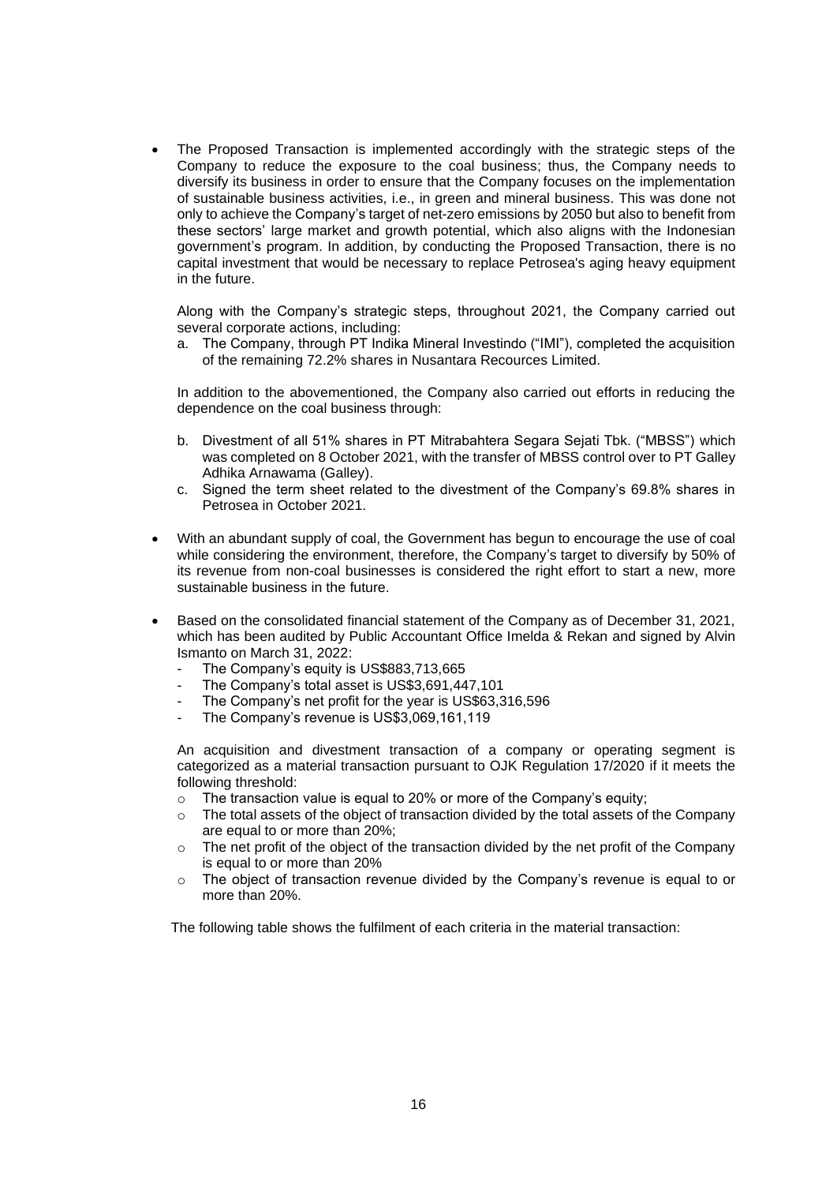• The Proposed Transaction is implemented accordingly with the strategic steps of the Company to reduce the exposure to the coal business; thus, the Company needs to diversify its business in order to ensure that the Company focuses on the implementation of sustainable business activities, i.e., in green and mineral business. This was done not only to achieve the Company's target of net-zero emissions by 2050 but also to benefit from these sectors' large market and growth potential, which also aligns with the Indonesian government's program. In addition, by conducting the Proposed Transaction, there is no capital investment that would be necessary to replace Petrosea's aging heavy equipment in the future.

Along with the Company's strategic steps, throughout 2021, the Company carried out several corporate actions, including:

a. The Company, through PT Indika Mineral Investindo ("IMI"), completed the acquisition of the remaining 72.2% shares in Nusantara Recources Limited.

In addition to the abovementioned, the Company also carried out efforts in reducing the dependence on the coal business through:

- b. Divestment of all 51% shares in PT Mitrabahtera Segara Sejati Tbk. ("MBSS") which was completed on 8 October 2021, with the transfer of MBSS control over to PT Galley Adhika Arnawama (Galley).
- c. Signed the term sheet related to the divestment of the Company's 69.8% shares in Petrosea in October 2021.
- With an abundant supply of coal, the Government has begun to encourage the use of coal while considering the environment, therefore, the Company's target to diversify by 50% of its revenue from non-coal businesses is considered the right effort to start a new, more sustainable business in the future.
- Based on the consolidated financial statement of the Company as of December 31, 2021, which has been audited by Public Accountant Office Imelda & Rekan and signed by Alvin Ismanto on March 31, 2022:
	- The Company's equity is US\$883,713,665
	- The Company's total asset is US\$3,691,447,101
	- The Company's net profit for the year is US\$63,316,596
	- The Company's revenue is US\$3,069,161,119

An acquisition and divestment transaction of a company or operating segment is categorized as a material transaction pursuant to OJK Regulation 17/2020 if it meets the following threshold:

- o The transaction value is equal to 20% or more of the Company's equity;
- $\circ$  The total assets of the object of transaction divided by the total assets of the Company are equal to or more than 20%;
- $\circ$  The net profit of the object of the transaction divided by the net profit of the Company is equal to or more than 20%
- $\circ$  The object of transaction revenue divided by the Company's revenue is equal to or more than 20%.

The following table shows the fulfilment of each criteria in the material transaction: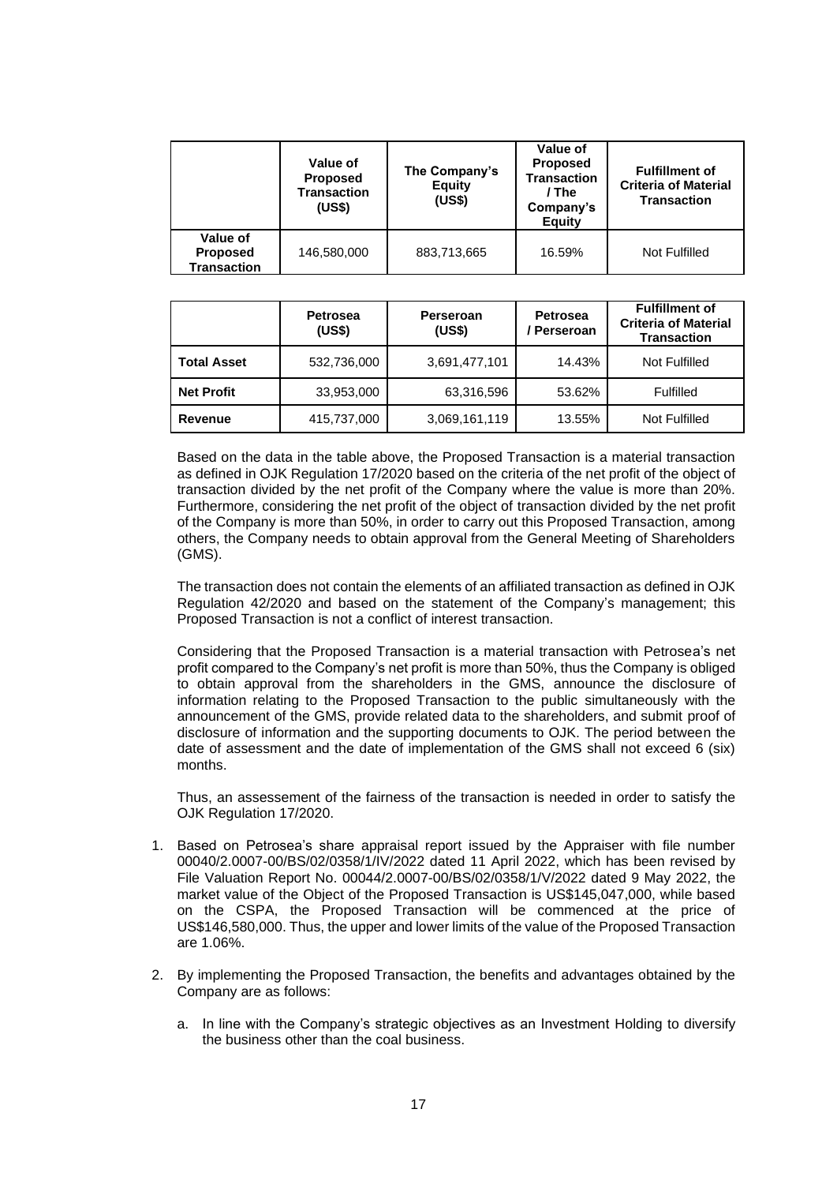|                                                   | Value of<br><b>Proposed</b><br><b>Transaction</b><br>(US\$) | The Company's<br><b>Equity</b><br>(US\$) | Value of<br><b>Proposed</b><br><b>Transaction</b><br>/ The<br>Company's<br><b>Equity</b> | <b>Fulfillment of</b><br><b>Criteria of Material</b><br><b>Transaction</b> |
|---------------------------------------------------|-------------------------------------------------------------|------------------------------------------|------------------------------------------------------------------------------------------|----------------------------------------------------------------------------|
| Value of<br><b>Proposed</b><br><b>Transaction</b> | 146,580,000                                                 | 883.713.665                              | 16.59%                                                                                   | Not Fulfilled                                                              |

|                    | <b>Petrosea</b><br>(US\$) | Perseroan<br>(US\$) | <b>Petrosea</b><br>' Perseroan | <b>Fulfillment of</b><br><b>Criteria of Material</b><br><b>Transaction</b> |
|--------------------|---------------------------|---------------------|--------------------------------|----------------------------------------------------------------------------|
| <b>Total Asset</b> | 532,736,000               | 3,691,477,101       | 14.43%                         | Not Fulfilled                                                              |
| <b>Net Profit</b>  | 33,953,000                | 63,316,596          | 53.62%                         | <b>Fulfilled</b>                                                           |
| Revenue            | 415,737,000               | 3,069,161,119       | 13.55%                         | Not Fulfilled                                                              |

Based on the data in the table above, the Proposed Transaction is a material transaction as defined in OJK Regulation 17/2020 based on the criteria of the net profit of the object of transaction divided by the net profit of the Company where the value is more than 20%. Furthermore, considering the net profit of the object of transaction divided by the net profit of the Company is more than 50%, in order to carry out this Proposed Transaction, among others, the Company needs to obtain approval from the General Meeting of Shareholders (GMS).

The transaction does not contain the elements of an affiliated transaction as defined in OJK Regulation 42/2020 and based on the statement of the Company's management; this Proposed Transaction is not a conflict of interest transaction.

Considering that the Proposed Transaction is a material transaction with Petrosea's net profit compared to the Company's net profit is more than 50%, thus the Company is obliged to obtain approval from the shareholders in the GMS, announce the disclosure of information relating to the Proposed Transaction to the public simultaneously with the announcement of the GMS, provide related data to the shareholders, and submit proof of disclosure of information and the supporting documents to OJK. The period between the date of assessment and the date of implementation of the GMS shall not exceed 6 (six) months.

Thus, an assessement of the fairness of the transaction is needed in order to satisfy the OJK Regulation 17/2020.

- 1. Based on Petrosea's share appraisal report issued by the Appraiser with file number 00040/2.0007-00/BS/02/0358/1/IV/2022 dated 11 April 2022, which has been revised by File Valuation Report No. 00044/2.0007-00/BS/02/0358/1/V/2022 dated 9 May 2022, the market value of the Object of the Proposed Transaction is US\$145,047,000, while based on the CSPA, the Proposed Transaction will be commenced at the price of US\$146,580,000. Thus, the upper and lower limits of the value of the Proposed Transaction are 1.06%.
- 2. By implementing the Proposed Transaction, the benefits and advantages obtained by the Company are as follows:
	- a. In line with the Company's strategic objectives as an Investment Holding to diversify the business other than the coal business.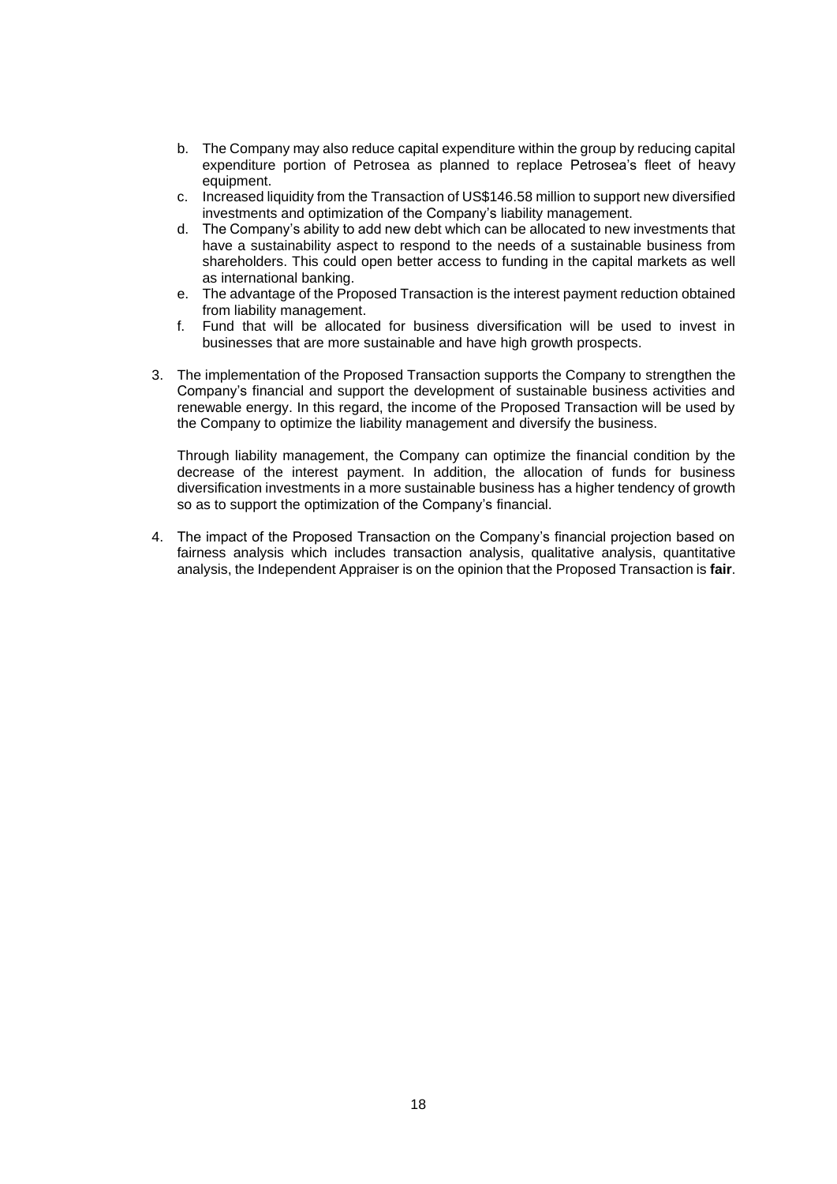- b. The Company may also reduce capital expenditure within the group by reducing capital expenditure portion of Petrosea as planned to replace Petrosea's fleet of heavy equipment.
- c. Increased liquidity from the Transaction of US\$146.58 million to support new diversified investments and optimization of the Company's liability management.
- d. The Company's ability to add new debt which can be allocated to new investments that have a sustainability aspect to respond to the needs of a sustainable business from shareholders. This could open better access to funding in the capital markets as well as international banking.
- e. The advantage of the Proposed Transaction is the interest payment reduction obtained from liability management.
- f. Fund that will be allocated for business diversification will be used to invest in businesses that are more sustainable and have high growth prospects.
- 3. The implementation of the Proposed Transaction supports the Company to strengthen the Company's financial and support the development of sustainable business activities and renewable energy. In this regard, the income of the Proposed Transaction will be used by the Company to optimize the liability management and diversify the business.

Through liability management, the Company can optimize the financial condition by the decrease of the interest payment. In addition, the allocation of funds for business diversification investments in a more sustainable business has a higher tendency of growth so as to support the optimization of the Company's financial.

4. The impact of the Proposed Transaction on the Company's financial projection based on fairness analysis which includes transaction analysis, qualitative analysis, quantitative analysis, the Independent Appraiser is on the opinion that the Proposed Transaction is **fair**.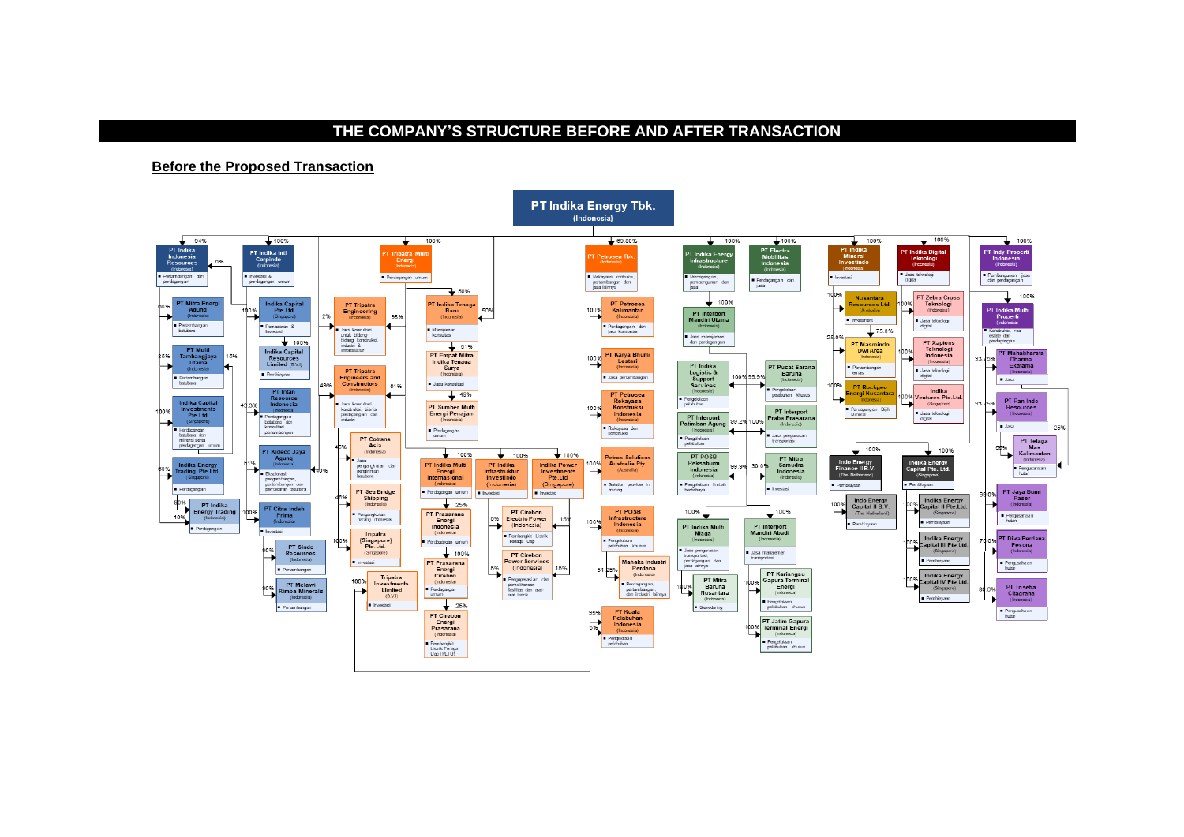## **THE COMPANY'S STRUCTURE BEFORE AND AFTER TRANSACTION**

**Before the Proposed Transaction**



# **PT Indika Energy Tbk.**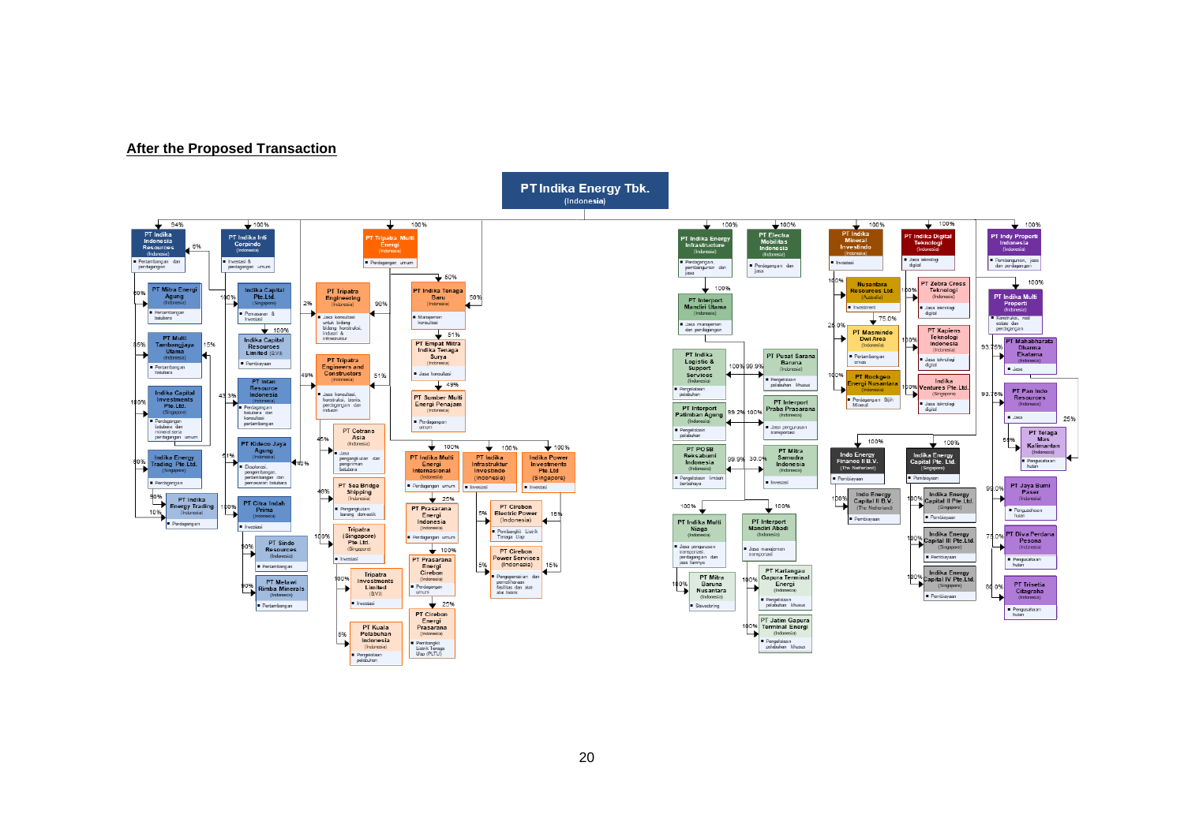#### **After the Proposed Transaction**

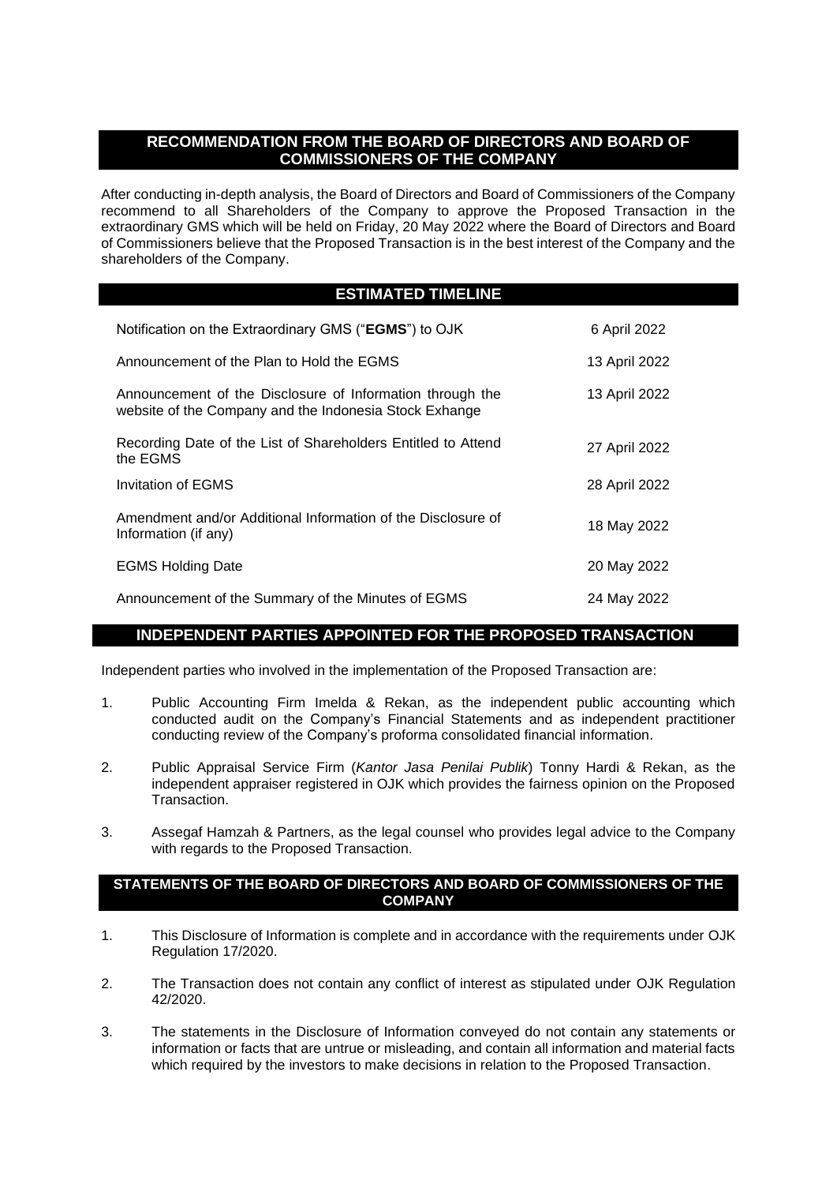# **RECOMMENDATION FROM THE BOARD OF DIRECTORS AND BOARD OF COMMISSIONERS OF THE COMPANY**

After conducting in-depth analysis, the Board of Directors and Board of Commissioners of the Company recommend to all Shareholders of the Company to approve the Proposed Transaction in the extraordinary GMS which will be held on Friday, 20 May 2022 where the Board of Directors and Board of Commissioners believe that the Proposed Transaction is in the best interest of the Company and the shareholders of the Company.

# **ESTIMATED TIMELINE**

| Notification on the Extraordinary GMS ("EGMS") to OJK                                                               | 6 April 2022  |
|---------------------------------------------------------------------------------------------------------------------|---------------|
| Announcement of the Plan to Hold the EGMS                                                                           | 13 April 2022 |
| Announcement of the Disclosure of Information through the<br>website of the Company and the Indonesia Stock Exhange | 13 April 2022 |
| Recording Date of the List of Shareholders Entitled to Attend<br>the EGMS                                           | 27 April 2022 |
| Invitation of EGMS                                                                                                  | 28 April 2022 |
| Amendment and/or Additional Information of the Disclosure of<br>Information (if any)                                | 18 May 2022   |
| <b>EGMS Holding Date</b>                                                                                            | 20 May 2022   |
| Announcement of the Summary of the Minutes of EGMS                                                                  | 24 May 2022   |

# **INDEPENDENT PARTIES APPOINTED FOR THE PROPOSED TRANSACTION**

Independent parties who involved in the implementation of the Proposed Transaction are:

- 1. Public Accounting Firm Imelda & Rekan, as the independent public accounting which conducted audit on the Company's Financial Statements and as independent practitioner conducting review of the Company's proforma consolidated financial information.
- 2. Public Appraisal Service Firm (*Kantor Jasa Penilai Publik*) Tonny Hardi & Rekan, as the independent appraiser registered in OJK which provides the fairness opinion on the Proposed Transaction.
- 3. Assegaf Hamzah & Partners, as the legal counsel who provides legal advice to the Company with regards to the Proposed Transaction.

#### **STATEMENTS OF THE BOARD OF DIRECTORS AND BOARD OF COMMISSIONERS OF THE COMPANY**

- 1. This Disclosure of Information is complete and in accordance with the requirements under OJK Regulation 17/2020.
- 2. The Transaction does not contain any conflict of interest as stipulated under OJK Regulation 42/2020.
- 3. The statements in the Disclosure of Information conveyed do not contain any statements or information or facts that are untrue or misleading, and contain all information and material facts which required by the investors to make decisions in relation to the Proposed Transaction.